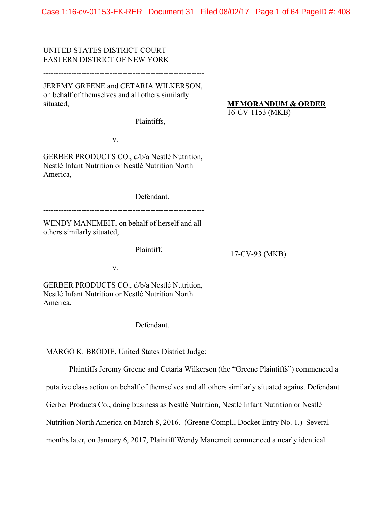Case 1:16-cv-01153-EK-RER Document 31 Filed 08/02/17 Page 1 of 64 PageID #: 408

UNITED STATES DISTRICT COURT EASTERN DISTRICT OF NEW YORK

---------------------------------------------------------------

JEREMY GREENE and CETARIA WILKERSON, on behalf of themselves and all others similarly situated,

**MEMORANDUM & ORDER**

16-CV-1153 (MKB)

Plaintiffs,

v.

GERBER PRODUCTS CO., d/b/a Nestlé Nutrition, Nestlé Infant Nutrition or Nestlé Nutrition North America,

Defendant.

---------------------------------------------------------------

WENDY MANEMEIT, on behalf of herself and all others similarly situated,

Plaintiff,

17-CV-93 (MKB)

v.

GERBER PRODUCTS CO., d/b/a Nestlé Nutrition, Nestlé Infant Nutrition or Nestlé Nutrition North America,

Defendant.

--------------------------------------------------------------- MARGO K. BRODIE, United States District Judge:

Plaintiffs Jeremy Greene and Cetaria Wilkerson (the "Greene Plaintiffs") commenced a

putative class action on behalf of themselves and all others similarly situated against Defendant

Gerber Products Co., doing business as Nestlé Nutrition, Nestlé Infant Nutrition or Nestlé

Nutrition North America on March 8, 2016. (Greene Compl., Docket Entry No. 1.) Several

months later, on January 6, 2017, Plaintiff Wendy Manemeit commenced a nearly identical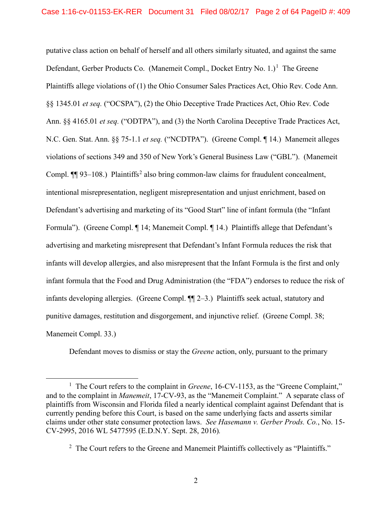putative class action on behalf of herself and all others similarly situated, and against the same Defendant, Gerber Products Co. (Manemeit Compl., Docket Entry No.  $1$ .)<sup>1</sup> The Greene Plaintiffs allege violations of (1) the Ohio Consumer Sales Practices Act, Ohio Rev. Code Ann. §§ 1345.01 *et seq.* ("OCSPA"), (2) the Ohio Deceptive Trade Practices Act, Ohio Rev. Code Ann. §§ 4165.01 *et seq.* ("ODTPA"), and (3) the North Carolina Deceptive Trade Practices Act, N.C. Gen. Stat. Ann. §§ 75-1.1 *et seq.* ("NCDTPA"). (Greene Compl. ¶ 14.) Manemeit alleges violations of sections 349 and 350 of New York's General Business Law ("GBL"). (Manemeit Compl.  $\P$ [93–108.) Plaintiffs<sup>[2](#page-1-1)</sup> also bring common-law claims for fraudulent concealment, intentional misrepresentation, negligent misrepresentation and unjust enrichment, based on Defendant's advertising and marketing of its "Good Start" line of infant formula (the "Infant Formula"). (Greene Compl. ¶ 14; Manemeit Compl. ¶ 14.) Plaintiffs allege that Defendant's advertising and marketing misrepresent that Defendant's Infant Formula reduces the risk that infants will develop allergies, and also misrepresent that the Infant Formula is the first and only infant formula that the Food and Drug Administration (the "FDA") endorses to reduce the risk of infants developing allergies. (Greene Compl. ¶¶ 2–3.) Plaintiffs seek actual, statutory and punitive damages, restitution and disgorgement, and injunctive relief. (Greene Compl. 38; Manemeit Compl. 33.)

Defendant moves to dismiss or stay the *Greene* action, only, pursuant to the primary

<span id="page-1-0"></span><sup>&</sup>lt;u>1</u> <sup>1</sup> The Court refers to the complaint in *Greene*, 16-CV-1153, as the "Greene Complaint," and to the complaint in *Manemeit*, 17-CV-93, as the "Manemeit Complaint." A separate class of plaintiffs from Wisconsin and Florida filed a nearly identical complaint against Defendant that is currently pending before this Court, is based on the same underlying facts and asserts similar claims under other state consumer protection laws. *See Hasemann v. Gerber Prods. Co.*, No. 15- CV-2995, 2016 WL 5477595 (E.D.N.Y. Sept. 28, 2016)*.* 

<span id="page-1-1"></span> $2$  The Court refers to the Greene and Manemeit Plaintiffs collectively as "Plaintiffs."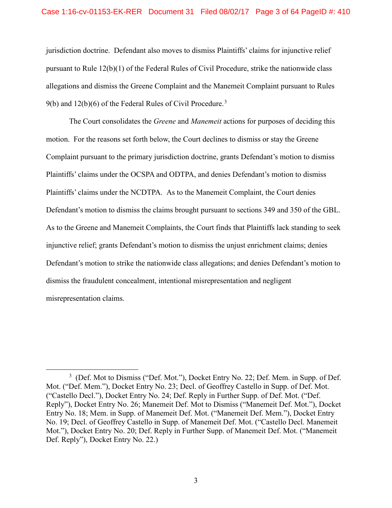#### Case 1:16-cv-01153-EK-RER Document 31 Filed 08/02/17 Page 3 of 64 PageID #: 410

jurisdiction doctrine. Defendant also moves to dismiss Plaintiffs' claims for injunctive relief pursuant to Rule 12(b)(1) of the Federal Rules of Civil Procedure, strike the nationwide class allegations and dismiss the Greene Complaint and the Manemeit Complaint pursuant to Rules 9(b) and  $12(b)(6)$  of the Federal Rules of Civil Procedure.<sup>[3](#page-2-0)</sup>

The Court consolidates the *Greene* and *Manemeit* actions for purposes of deciding this motion. For the reasons set forth below, the Court declines to dismiss or stay the Greene Complaint pursuant to the primary jurisdiction doctrine, grants Defendant's motion to dismiss Plaintiffs' claims under the OCSPA and ODTPA, and denies Defendant's motion to dismiss Plaintiffs' claims under the NCDTPA. As to the Manemeit Complaint, the Court denies Defendant's motion to dismiss the claims brought pursuant to sections 349 and 350 of the GBL. As to the Greene and Manemeit Complaints, the Court finds that Plaintiffs lack standing to seek injunctive relief; grants Defendant's motion to dismiss the unjust enrichment claims; denies Defendant's motion to strike the nationwide class allegations; and denies Defendant's motion to dismiss the fraudulent concealment, intentional misrepresentation and negligent misrepresentation claims.

<span id="page-2-0"></span> $\frac{1}{3}$ <sup>3</sup> (Def. Mot to Dismiss ("Def. Mot."), Docket Entry No. 22; Def. Mem. in Supp. of Def. Mot. ("Def. Mem."), Docket Entry No. 23; Decl. of Geoffrey Castello in Supp. of Def. Mot. ("Castello Decl."), Docket Entry No. 24; Def. Reply in Further Supp. of Def. Mot. ("Def. Reply"), Docket Entry No. 26; Manemeit Def. Mot to Dismiss ("Manemeit Def. Mot."), Docket Entry No. 18; Mem. in Supp. of Manemeit Def. Mot. ("Manemeit Def. Mem."), Docket Entry No. 19; Decl. of Geoffrey Castello in Supp. of Manemeit Def. Mot. ("Castello Decl. Manemeit Mot."), Docket Entry No. 20; Def. Reply in Further Supp. of Manemeit Def. Mot. ("Manemeit Def. Reply"), Docket Entry No. 22.)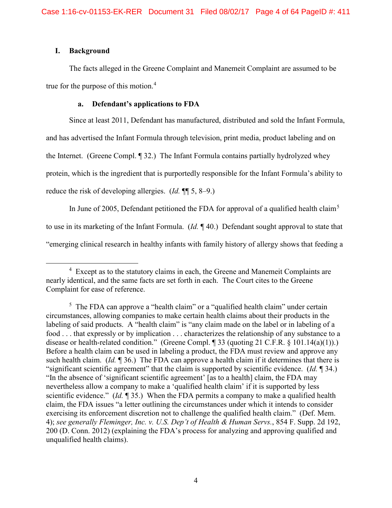# **I. Background**

The facts alleged in the Greene Complaint and Manemeit Complaint are assumed to be true for the purpose of this motion.<sup>[4](#page-3-0)</sup>

# **a. Defendant's applications to FDA**

Since at least 2011, Defendant has manufactured, distributed and sold the Infant Formula,

and has advertised the Infant Formula through television, print media, product labeling and on

the Internet. (Greene Compl. ¶ 32.) The Infant Formula contains partially hydrolyzed whey

protein, which is the ingredient that is purportedly responsible for the Infant Formula's ability to

reduce the risk of developing allergies. (*Id.* ¶¶ 5, 8–9.)

In June of 200[5](#page-3-1), Defendant petitioned the FDA for approval of a qualified health claim<sup>5</sup> to use in its marketing of the Infant Formula. (*Id.* ¶ 40.) Defendant sought approval to state that "emerging clinical research in healthy infants with family history of allergy shows that feeding a

<span id="page-3-0"></span> $\frac{1}{4}$  $4$  Except as to the statutory claims in each, the Greene and Manemeit Complaints are nearly identical, and the same facts are set forth in each. The Court cites to the Greene Complaint for ease of reference.

<span id="page-3-1"></span><sup>&</sup>lt;sup>5</sup> The FDA can approve a "health claim" or a "qualified health claim" under certain circumstances, allowing companies to make certain health claims about their products in the labeling of said products. A "health claim" is "any claim made on the label or in labeling of a food . . . that expressly or by implication . . . characterizes the relationship of any substance to a disease or health-related condition." (Greene Compl. ¶ 33 (quoting 21 C.F.R. § 101.14(a)(1)).) Before a health claim can be used in labeling a product, the FDA must review and approve any such health claim. (*Id.* ¶ 36.) The FDA can approve a health claim if it determines that there is "significant scientific agreement" that the claim is supported by scientific evidence. (*Id.* ¶ 34.) "In the absence of 'significant scientific agreement' [as to a health] claim, the FDA may nevertheless allow a company to make a 'qualified health claim' if it is supported by less scientific evidence." (*Id.* ¶ 35.) When the FDA permits a company to make a qualified health claim, the FDA issues "a letter outlining the circumstances under which it intends to consider exercising its enforcement discretion not to challenge the qualified health claim." (Def. Mem. 4); *see generally Fleminger, Inc. v. U.S. Dep't of Health & Human Servs.*, 854 F. Supp. 2d 192, 200 (D. Conn. 2012) (explaining the FDA's process for analyzing and approving qualified and unqualified health claims).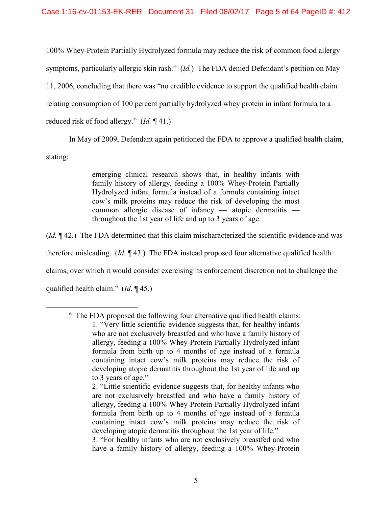100% Whey-Protein Partially Hydrolyzed formula may reduce the risk of common food allergy symptoms, particularly allergic skin rash." (*Id.*) The FDA denied Defendant's petition on May 11, 2006, concluding that there was "no credible evidence to support the qualified health claim relating consumption of 100 percent partially hydrolyzed whey protein in infant formula to a reduced risk of food allergy." (*Id.* ¶ 41.)

In May of 2009, Defendant again petitioned the FDA to approve a qualified health claim,

stating:

<span id="page-4-0"></span> $\overline{\phantom{0}}$ 

emerging clinical research shows that, in healthy infants with family history of allergy, feeding a 100% Whey-Protein Partially Hydrolyzed infant formula instead of a formula containing intact cow's milk proteins may reduce the risk of developing the most common allergic disease of infancy — atopic dermatitis throughout the 1st year of life and up to 3 years of age.

(*Id.* ¶ 42.) The FDA determined that this claim mischaracterized the scientific evidence and was

therefore misleading. (*Id.* ¶ 43.) The FDA instead proposed four alternative qualified health

claims, over which it would consider exercising its enforcement discretion not to challenge the

qualified health claim.<sup>[6](#page-4-0)</sup> (*Id.* 145.)

3. "For healthy infants who are not exclusively breastfed and who have a family history of allergy, feeding a 100% Whey-Protein

 $6\text{ The FDA proposed the following four alternative qualified health claims:}$ 1. "Very little scientific evidence suggests that, for healthy infants who are not exclusively breastfed and who have a family history of allergy, feeding a 100% Whey-Protein Partially Hydrolyzed infant formula from birth up to 4 months of age instead of a formula containing intact cow's milk proteins may reduce the risk of developing atopic dermatitis throughout the 1st year of life and up to 3 years of age."

<sup>2. &</sup>quot;Little scientific evidence suggests that, for healthy infants who are not exclusively breastfed and who have a family history of allergy, feeding a 100% Whey-Protein Partially Hydrolyzed infant formula from birth up to 4 months of age instead of a formula containing intact cow's milk proteins may reduce the risk of developing atopic dermatitis throughout the 1st year of life."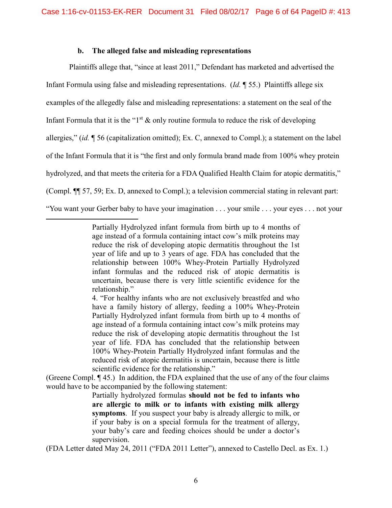# **b. The alleged false and misleading representations**

 $\overline{a}$ 

Plaintiffs allege that, "since at least 2011," Defendant has marketed and advertised the Infant Formula using false and misleading representations. (*Id.* ¶ 55.) Plaintiffs allege six examples of the allegedly false and misleading representations: a statement on the seal of the Infant Formula that it is the " $1<sup>st</sup>$  & only routine formula to reduce the risk of developing allergies," (*id.* ¶ 56 (capitalization omitted); Ex. C, annexed to Compl.); a statement on the label of the Infant Formula that it is "the first and only formula brand made from 100% whey protein hydrolyzed, and that meets the criteria for a FDA Qualified Health Claim for atopic dermatitis," (Compl. ¶¶ 57, 59; Ex. D, annexed to Compl.); a television commercial stating in relevant part: "You want your Gerber baby to have your imagination . . . your smile . . . your eyes . . . not your

4. "For healthy infants who are not exclusively breastfed and who have a family history of allergy, feeding a 100% Whey-Protein Partially Hydrolyzed infant formula from birth up to 4 months of age instead of a formula containing intact cow's milk proteins may reduce the risk of developing atopic dermatitis throughout the 1st year of life. FDA has concluded that the relationship between 100% Whey-Protein Partially Hydrolyzed infant formulas and the reduced risk of atopic dermatitis is uncertain, because there is little scientific evidence for the relationship."

(Greene Compl. ¶ 45.) In addition, the FDA explained that the use of any of the four claims would have to be accompanied by the following statement:

> Partially hydrolyzed formulas **should not be fed to infants who are allergic to milk or to infants with existing milk allergy symptoms**. If you suspect your baby is already allergic to milk, or if your baby is on a special formula for the treatment of allergy, your baby's care and feeding choices should be under a doctor's supervision.

(FDA Letter dated May 24, 2011 ("FDA 2011 Letter"), annexed to Castello Decl. as Ex. 1.)

Partially Hydrolyzed infant formula from birth up to 4 months of age instead of a formula containing intact cow's milk proteins may reduce the risk of developing atopic dermatitis throughout the 1st year of life and up to 3 years of age. FDA has concluded that the relationship between 100% Whey-Protein Partially Hydrolyzed infant formulas and the reduced risk of atopic dermatitis is uncertain, because there is very little scientific evidence for the relationship."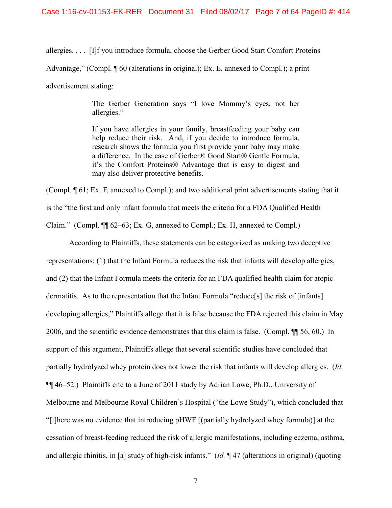allergies. . . . [I]f you introduce formula, choose the Gerber Good Start Comfort Proteins Advantage," (Compl. ¶ 60 (alterations in original); Ex. E, annexed to Compl.); a print advertisement stating:

> The Gerber Generation says "I love Mommy's eyes, not her allergies."

> If you have allergies in your family, breastfeeding your baby can help reduce their risk. And, if you decide to introduce formula, research shows the formula you first provide your baby may make a difference. In the case of Gerber® Good Start® Gentle Formula, it's the Comfort Proteins® Advantage that is easy to digest and may also deliver protective benefits.

(Compl. ¶ 61; Ex. F, annexed to Compl.); and two additional print advertisements stating that it is the "the first and only infant formula that meets the criteria for a FDA Qualified Health Claim." (Compl. ¶¶ 62–63; Ex. G, annexed to Compl.; Ex. H, annexed to Compl.)

According to Plaintiffs, these statements can be categorized as making two deceptive representations: (1) that the Infant Formula reduces the risk that infants will develop allergies, and (2) that the Infant Formula meets the criteria for an FDA qualified health claim for atopic dermatitis. As to the representation that the Infant Formula "reduce[s] the risk of [infants] developing allergies," Plaintiffs allege that it is false because the FDA rejected this claim in May 2006, and the scientific evidence demonstrates that this claim is false. (Compl. ¶¶ 56, 60.) In support of this argument, Plaintiffs allege that several scientific studies have concluded that partially hydrolyzed whey protein does not lower the risk that infants will develop allergies. (*Id.* ¶¶ 46–52.) Plaintiffs cite to a June of 2011 study by Adrian Lowe, Ph.D., University of Melbourne and Melbourne Royal Children's Hospital ("the Lowe Study"), which concluded that "[t]here was no evidence that introducing pHWF [(partially hydrolyzed whey formula)] at the cessation of breast-feeding reduced the risk of allergic manifestations, including eczema, asthma, and allergic rhinitis, in [a] study of high-risk infants." (*Id.* ¶ 47 (alterations in original) (quoting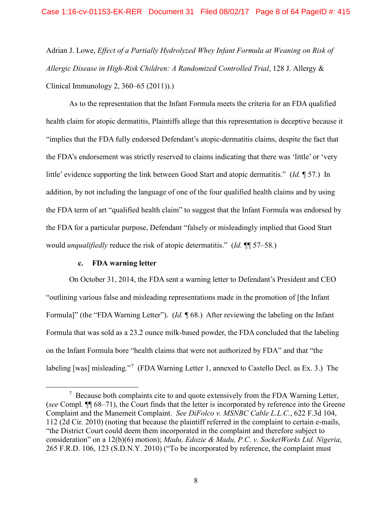Adrian J. Lowe, *Effect of a Partially Hydrolyzed Whey Infant Formula at Weaning on Risk of Allergic Disease in High-Risk Children: A Randomized Controlled Trial*, 128 J. Allergy & Clinical Immunology 2, 360–65 (2011)).)

As to the representation that the Infant Formula meets the criteria for an FDA qualified health claim for atopic dermatitis, Plaintiffs allege that this representation is deceptive because it "implies that the FDA fully endorsed Defendant's atopic-dermatitis claims, despite the fact that the FDA's endorsement was strictly reserved to claims indicating that there was 'little' or 'very little' evidence supporting the link between Good Start and atopic dermatitis." (*Id.* ¶ 57.) In addition, by not including the language of one of the four qualified health claims and by using the FDA term of art "qualified health claim" to suggest that the Infant Formula was endorsed by the FDA for a particular purpose, Defendant "falsely or misleadingly implied that Good Start would *unqualifiedly* reduce the risk of atopic determatitis." (*Id.* ¶¶ 57–58.)

## **c. FDA warning letter**

On October 31, 2014, the FDA sent a warning letter to Defendant's President and CEO "outlining various false and misleading representations made in the promotion of [the Infant Formula]" (the "FDA Warning Letter"). (*Id.* ¶ 68.) After reviewing the labeling on the Infant Formula that was sold as a 23.2 ounce milk-based powder, the FDA concluded that the labeling on the Infant Formula bore "health claims that were not authorized by FDA" and that "the labeling [was] misleading."<sup>[7](#page-7-0)</sup> (FDA Warning Letter 1, annexed to Castello Decl. as Ex. 3.) The

<span id="page-7-0"></span> $\overline{7}$  $\frac{1}{2}$  Because both complaints cite to and quote extensively from the FDA Warning Letter, (*see* Compl. ¶¶ 68–71), the Court finds that the letter is incorporated by reference into the Greene Complaint and the Manemeit Complaint. *See DiFolco v. MSNBC Cable L.L.C.*, 622 F.3d 104, 112 (2d Cir. 2010) (noting that because the plaintiff referred in the complaint to certain e-mails, "the District Court could deem them incorporated in the complaint and therefore subject to consideration" on a 12(b)(6) motion); *Madu, Edozie & Madu, P.C. v. SocketWorks Ltd. Nigeria*, 265 F.R.D. 106, 123 (S.D.N.Y. 2010) ("To be incorporated by reference, the complaint must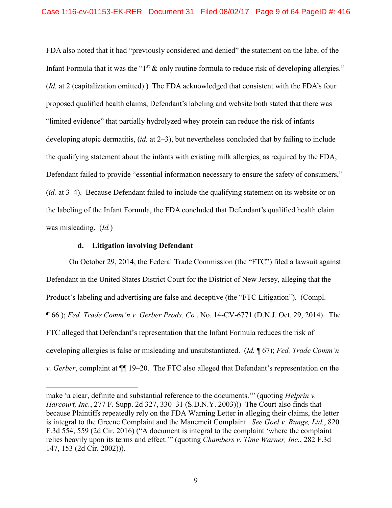FDA also noted that it had "previously considered and denied" the statement on the label of the Infant Formula that it was the " $1<sup>st</sup>$  & only routine formula to reduce risk of developing allergies." (*Id.* at 2 (capitalization omitted).) The FDA acknowledged that consistent with the FDA's four proposed qualified health claims, Defendant's labeling and website both stated that there was "limited evidence" that partially hydrolyzed whey protein can reduce the risk of infants developing atopic dermatitis, (*id.* at 2–3), but nevertheless concluded that by failing to include the qualifying statement about the infants with existing milk allergies, as required by the FDA, Defendant failed to provide "essential information necessary to ensure the safety of consumers," (*id.* at 3–4). Because Defendant failed to include the qualifying statement on its website or on the labeling of the Infant Formula, the FDA concluded that Defendant's qualified health claim was misleading. (*Id.*)

## **d. Litigation involving Defendant**

 $\overline{a}$ 

On October 29, 2014, the Federal Trade Commission (the "FTC") filed a lawsuit against Defendant in the United States District Court for the District of New Jersey, alleging that the Product's labeling and advertising are false and deceptive (the "FTC Litigation"). (Compl. ¶ 66.); *Fed. Trade Comm'n v. Gerber Prods. Co.*, No. 14-CV-6771 (D.N.J. Oct. 29, 2014). The FTC alleged that Defendant's representation that the Infant Formula reduces the risk of developing allergies is false or misleading and unsubstantiated. (*Id.* ¶ 67); *Fed. Trade Comm'n v. Gerber*, complaint at ¶¶ 19–20. The FTC also alleged that Defendant's representation on the

make 'a clear, definite and substantial reference to the documents.'" (quoting *Helprin v. Harcourt, Inc.*, 277 F. Supp. 2d 327, 330–31 (S.D.N.Y. 2003))) The Court also finds that because Plaintiffs repeatedly rely on the FDA Warning Letter in alleging their claims, the letter is integral to the Greene Complaint and the Manemeit Complaint. *See Goel v. Bunge, Ltd.*, 820 F.3d 554, 559 (2d Cir. 2016) ("A document is integral to the complaint 'where the complaint relies heavily upon its terms and effect.'" (quoting *Chambers v. Time Warner, Inc.*, 282 F.3d 147, 153 (2d Cir. 2002))).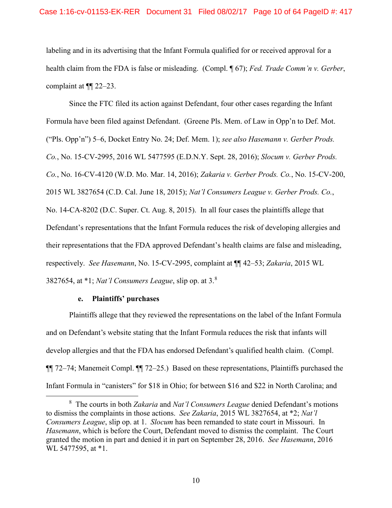labeling and in its advertising that the Infant Formula qualified for or received approval for a health claim from the FDA is false or misleading. (Compl. ¶ 67); *Fed. Trade Comm'n v. Gerber*, complaint at ¶¶ 22–23.

Since the FTC filed its action against Defendant, four other cases regarding the Infant Formula have been filed against Defendant. (Greene Pls. Mem. of Law in Opp'n to Def. Mot. ("Pls. Opp'n") 5–6, Docket Entry No. 24; Def. Mem. 1); *see also Hasemann v. Gerber Prods. Co.*, No. 15-CV-2995, 2016 WL 5477595 (E.D.N.Y. Sept. 28, 2016); *Slocum v. Gerber Prods. Co.*, No. 16-CV-4120 (W.D. Mo. Mar. 14, 2016); *Zakaria v. Gerber Prods. Co.*, No. 15-CV-200, 2015 WL 3827654 (C.D. Cal. June 18, 2015); *Nat'l Consumers League v. Gerber Prods. Co.*, No. 14-CA-8202 (D.C. Super. Ct. Aug. 8, 2015). In all four cases the plaintiffs allege that Defendant's representations that the Infant Formula reduces the risk of developing allergies and their representations that the FDA approved Defendant's health claims are false and misleading, respectively. *See Hasemann*, No. 15-CV-2995, complaint at ¶¶ 42–53; *Zakaria*, 2015 WL 3827654, at \*1; *Nat'l Consumers League*, slip op. at 3.[8](#page-9-0)

# **e. Plaintiffs' purchases**

Plaintiffs allege that they reviewed the representations on the label of the Infant Formula and on Defendant's website stating that the Infant Formula reduces the risk that infants will develop allergies and that the FDA has endorsed Defendant's qualified health claim. (Compl. ¶¶ 72–74; Manemeit Compl. ¶¶ 72–25.) Based on these representations, Plaintiffs purchased the Infant Formula in "canisters" for \$18 in Ohio; for between \$16 and \$22 in North Carolina; and

<span id="page-9-0"></span> <sup>8</sup> The courts in both *Zakaria* and *Nat'l Consumers League* denied Defendant's motions to dismiss the complaints in those actions. *See Zakaria*, 2015 WL 3827654, at \*2; *Nat'l Consumers League*, slip op. at 1. *Slocum* has been remanded to state court in Missouri. In *Hasemann*, which is before the Court, Defendant moved to dismiss the complaint. The Court granted the motion in part and denied it in part on September 28, 2016. *See Hasemann*, 2016 WL 5477595, at \*1.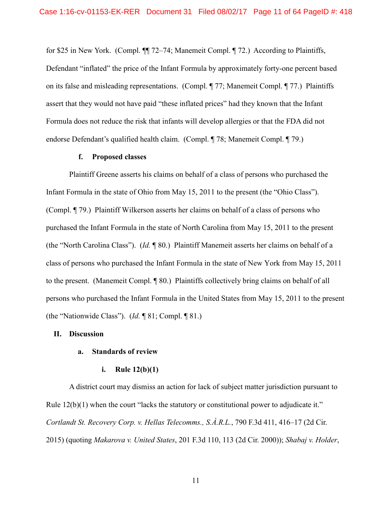for \$25 in New York. (Compl. ¶¶ 72–74; Manemeit Compl. ¶ 72.) According to Plaintiffs, Defendant "inflated" the price of the Infant Formula by approximately forty-one percent based on its false and misleading representations. (Compl. ¶ 77; Manemeit Compl. ¶ 77.) Plaintiffs assert that they would not have paid "these inflated prices" had they known that the Infant Formula does not reduce the risk that infants will develop allergies or that the FDA did not endorse Defendant's qualified health claim. (Compl. ¶ 78; Manemeit Compl. ¶ 79.)

## **f. Proposed classes**

Plaintiff Greene asserts his claims on behalf of a class of persons who purchased the Infant Formula in the state of Ohio from May 15, 2011 to the present (the "Ohio Class"). (Compl. ¶ 79.) Plaintiff Wilkerson asserts her claims on behalf of a class of persons who purchased the Infant Formula in the state of North Carolina from May 15, 2011 to the present (the "North Carolina Class"). (*Id.* ¶ 80.) Plaintiff Manemeit asserts her claims on behalf of a class of persons who purchased the Infant Formula in the state of New York from May 15, 2011 to the present. (Manemeit Compl. ¶ 80.) Plaintiffs collectively bring claims on behalf of all persons who purchased the Infant Formula in the United States from May 15, 2011 to the present (the "Nationwide Class"). (*Id.* ¶ 81; Compl. ¶ 81.)

#### **II. Discussion**

## **a. Standards of review**

#### **i. Rule 12(b)(1)**

A district court may dismiss an action for lack of subject matter jurisdiction pursuant to Rule 12(b)(1) when the court "lacks the statutory or constitutional power to adjudicate it." *Cortlandt St. Recovery Corp. v. Hellas Telecomms., S.À.R.L.*, 790 F.3d 411, 416–17 (2d Cir. 2015) (quoting *Makarova v. United States*, 201 F.3d 110, 113 (2d Cir. 2000)); *Shabaj v. Holder*,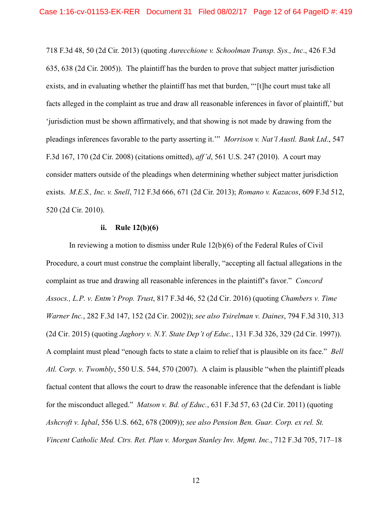718 F.3d 48, 50 (2d Cir. 2013) (quoting *Aurecchione v. Schoolman Transp. Sys., Inc*., 426 F.3d 635, 638 (2d Cir. 2005)). The plaintiff has the burden to prove that subject matter jurisdiction exists, and in evaluating whether the plaintiff has met that burden, "The court must take all facts alleged in the complaint as true and draw all reasonable inferences in favor of plaintiff,' but 'jurisdiction must be shown affirmatively, and that showing is not made by drawing from the pleadings inferences favorable to the party asserting it.'" *Morrison v. Nat'l Austl. Bank Ltd*., 547 F.3d 167, 170 (2d Cir. 2008) (citations omitted), *aff'd*, 561 U.S. 247 (2010). A court may consider matters outside of the pleadings when determining whether subject matter jurisdiction exists. *M.E.S., Inc. v. Snell*, 712 F.3d 666, 671 (2d Cir. 2013); *Romano v. Kazacos*, 609 F.3d 512, 520 (2d Cir. 2010).

## **ii. Rule 12(b)(6)**

In reviewing a motion to dismiss under Rule 12(b)(6) of the Federal Rules of Civil Procedure, a court must construe the complaint liberally, "accepting all factual allegations in the complaint as true and drawing all reasonable inferences in the plaintiff's favor." *Concord Assocs., L.P. v. Entm't Prop. Trust*, 817 F.3d 46, 52 (2d Cir. 2016) (quoting *Chambers v. Time Warner Inc.*, 282 F.3d 147, 152 (2d Cir. 2002)); *see also Tsirelman v. Daines*, 794 F.3d 310, 313 (2d Cir. 2015) (quoting *Jaghory v. N.Y. State Dep't of Educ.*, 131 F.3d 326, 329 (2d Cir. 1997)). A complaint must plead "enough facts to state a claim to relief that is plausible on its face." *Bell Atl. Corp. v. Twombly*, 550 U.S. 544, 570 (2007). A claim is plausible "when the plaintiff pleads factual content that allows the court to draw the reasonable inference that the defendant is liable for the misconduct alleged." *Matson v. Bd. of Educ.*, 631 F.3d 57, 63 (2d Cir. 2011) (quoting *Ashcroft v. Iqbal*, 556 U.S. 662, 678 (2009)); *see also Pension Ben. Guar. Corp. ex rel. St. Vincent Catholic Med. Ctrs. Ret. Plan v. Morgan Stanley Inv. Mgmt. Inc.*, 712 F.3d 705, 717–18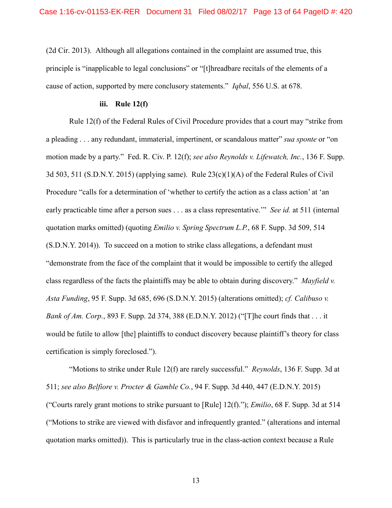(2d Cir. 2013). Although all allegations contained in the complaint are assumed true, this principle is "inapplicable to legal conclusions" or "[t]hreadbare recitals of the elements of a cause of action, supported by mere conclusory statements." *Iqbal*, 556 U.S. at 678.

## **iii. Rule 12(f)**

Rule 12(f) of the Federal Rules of Civil Procedure provides that a court may "strike from a pleading . . . any redundant, immaterial, impertinent, or scandalous matter" *sua sponte* or "on motion made by a party." Fed. R. Civ. P. 12(f); *see also Reynolds v. Lifewatch, Inc.*, 136 F. Supp. 3d 503, 511 (S.D.N.Y. 2015) (applying same). Rule  $23(c)(1)(A)$  of the Federal Rules of Civil Procedure "calls for a determination of 'whether to certify the action as a class action' at 'an early practicable time after a person sues . . . as a class representative.'" *See id.* at 511 (internal quotation marks omitted) (quoting *Emilio v. Spring Spectrum L.P.*, 68 F. Supp. 3d 509, 514 (S.D.N.Y. 2014)). To succeed on a motion to strike class allegations, a defendant must "demonstrate from the face of the complaint that it would be impossible to certify the alleged class regardless of the facts the plaintiffs may be able to obtain during discovery." *Mayfield v. Asta Funding*, 95 F. Supp. 3d 685, 696 (S.D.N.Y. 2015) (alterations omitted); *cf. Calibuso v. Bank of Am. Corp.*, 893 F. Supp. 2d 374, 388 (E.D.N.Y. 2012) ("[T]he court finds that . . . it would be futile to allow [the] plaintiffs to conduct discovery because plaintiff's theory for class certification is simply foreclosed.").

"Motions to strike under Rule 12(f) are rarely successful." *Reynolds*, 136 F. Supp. 3d at 511; *see also Belfiore v. Procter & Gamble Co.*, 94 F. Supp. 3d 440, 447 (E.D.N.Y. 2015) ("Courts rarely grant motions to strike pursuant to [Rule] 12(f)."); *Emilio*, 68 F. Supp. 3d at 514 ("Motions to strike are viewed with disfavor and infrequently granted." (alterations and internal quotation marks omitted)). This is particularly true in the class-action context because a Rule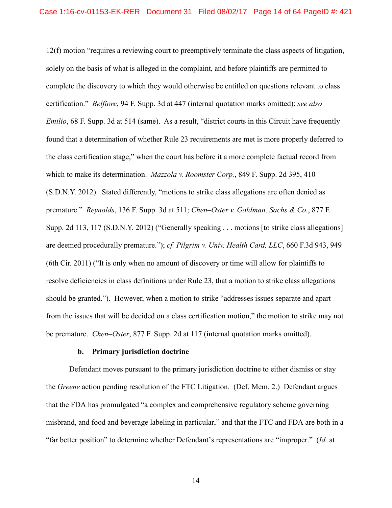12(f) motion "requires a reviewing court to preemptively terminate the class aspects of litigation, solely on the basis of what is alleged in the complaint, and before plaintiffs are permitted to complete the discovery to which they would otherwise be entitled on questions relevant to class certification." *Belfiore*, 94 F. Supp. 3d at 447 (internal quotation marks omitted); *see also Emilio*, 68 F. Supp. 3d at 514 (same). As a result, "district courts in this Circuit have frequently found that a determination of whether Rule 23 requirements are met is more properly deferred to the class certification stage," when the court has before it a more complete factual record from which to make its determination. *Mazzola v. Roomster Corp.*, 849 F. Supp. 2d 395, 410 (S.D.N.Y. 2012). Stated differently, "motions to strike class allegations are often denied as premature." *Reynolds*, 136 F. Supp. 3d at 511; *Chen–Oster v. Goldman, Sachs & Co.*, 877 F. Supp. 2d 113, 117 (S.D.N.Y. 2012) ("Generally speaking . . . motions [to strike class allegations] are deemed procedurally premature."); *cf. Pilgrim v. Univ. Health Card, LLC*, 660 F.3d 943, 949 (6th Cir. 2011) ("It is only when no amount of discovery or time will allow for plaintiffs to resolve deficiencies in class definitions under Rule 23, that a motion to strike class allegations should be granted."). However, when a motion to strike "addresses issues separate and apart from the issues that will be decided on a class certification motion," the motion to strike may not be premature. *Chen–Oster*, 877 F. Supp. 2d at 117 (internal quotation marks omitted).

## **b. Primary jurisdiction doctrine**

Defendant moves pursuant to the primary jurisdiction doctrine to either dismiss or stay the *Greene* action pending resolution of the FTC Litigation. (Def. Mem. 2.) Defendant argues that the FDA has promulgated "a complex and comprehensive regulatory scheme governing misbrand, and food and beverage labeling in particular," and that the FTC and FDA are both in a "far better position" to determine whether Defendant's representations are "improper." (*Id.* at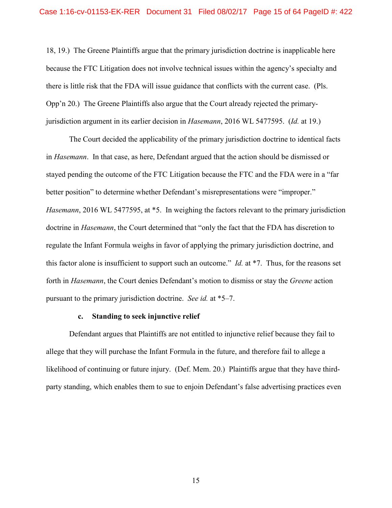18, 19.) The Greene Plaintiffs argue that the primary jurisdiction doctrine is inapplicable here because the FTC Litigation does not involve technical issues within the agency's specialty and there is little risk that the FDA will issue guidance that conflicts with the current case. (Pls. Opp'n 20.) The Greene Plaintiffs also argue that the Court already rejected the primaryjurisdiction argument in its earlier decision in *Hasemann*, 2016 WL 5477595. (*Id.* at 19.)

The Court decided the applicability of the primary jurisdiction doctrine to identical facts in *Hasemann*. In that case, as here, Defendant argued that the action should be dismissed or stayed pending the outcome of the FTC Litigation because the FTC and the FDA were in a "far better position" to determine whether Defendant's misrepresentations were "improper." *Hasemann*, 2016 WL 5477595, at \*5. In weighing the factors relevant to the primary jurisdiction doctrine in *Hasemann*, the Court determined that "only the fact that the FDA has discretion to regulate the Infant Formula weighs in favor of applying the primary jurisdiction doctrine, and this factor alone is insufficient to support such an outcome." *Id.* at \*7. Thus, for the reasons set forth in *Hasemann*, the Court denies Defendant's motion to dismiss or stay the *Greene* action pursuant to the primary jurisdiction doctrine. *See id.* at \*5–7.

# **c. Standing to seek injunctive relief**

Defendant argues that Plaintiffs are not entitled to injunctive relief because they fail to allege that they will purchase the Infant Formula in the future, and therefore fail to allege a likelihood of continuing or future injury. (Def. Mem. 20.) Plaintiffs argue that they have thirdparty standing, which enables them to sue to enjoin Defendant's false advertising practices even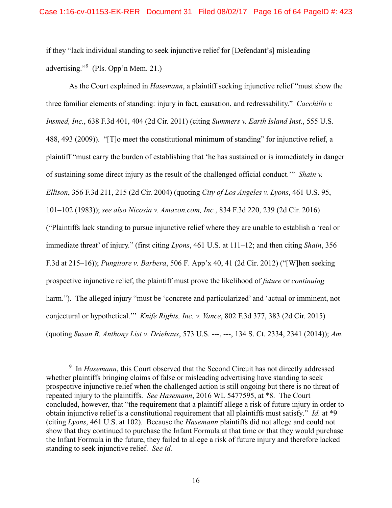if they "lack individual standing to seek injunctive relief for [Defendant's] misleading advertising."[9](#page-15-0) (Pls. Opp'n Mem. 21.)

As the Court explained in *Hasemann*, a plaintiff seeking injunctive relief "must show the three familiar elements of standing: injury in fact, causation, and redressability." *Cacchillo v. Insmed, Inc.*, 638 F.3d 401, 404 (2d Cir. 2011) (citing *Summers v. Earth Island Inst.*, 555 U.S. 488, 493 (2009)). "[T]o meet the constitutional minimum of standing" for injunctive relief, a plaintiff "must carry the burden of establishing that 'he has sustained or is immediately in danger of sustaining some direct injury as the result of the challenged official conduct.'" *Shain v. Ellison*, 356 F.3d 211, 215 (2d Cir. 2004) (quoting *City of Los Angeles v. Lyons*, 461 U.S. 95, 101–102 (1983)); *see also Nicosia v. Amazon.com, Inc.*, 834 F.3d 220, 239 (2d Cir. 2016) ("Plaintiffs lack standing to pursue injunctive relief where they are unable to establish a 'real or immediate threat' of injury." (first citing *Lyons*, 461 U.S. at 111–12; and then citing *Shain*, 356 F.3d at 215–16)); *Pungitore v. Barbera*, 506 F. App'x 40, 41 (2d Cir. 2012) ("[W]hen seeking prospective injunctive relief, the plaintiff must prove the likelihood of *future* or *continuing* harm."). The alleged injury "must be 'concrete and particularized' and 'actual or imminent, not conjectural or hypothetical.'" *Knife Rights, Inc. v. Vance*, 802 F.3d 377, 383 (2d Cir. 2015) (quoting *Susan B. Anthony List v. Driehaus*, 573 U.S. ---, ---, 134 S. Ct. 2334, 2341 (2014)); *Am.* 

<span id="page-15-0"></span> <sup>9</sup> <sup>9</sup> In *Hasemann*, this Court observed that the Second Circuit has not directly addressed whether plaintiffs bringing claims of false or misleading advertising have standing to seek prospective injunctive relief when the challenged action is still ongoing but there is no threat of repeated injury to the plaintiffs. *See Hasemann*, 2016 WL 5477595, at \*8. The Court concluded, however, that "the requirement that a plaintiff allege a risk of future injury in order to obtain injunctive relief is a constitutional requirement that all plaintiffs must satisfy." *Id.* at \*9 (citing *Lyons*, 461 U.S. at 102). Because the *Hasemann* plaintiffs did not allege and could not show that they continued to purchase the Infant Formula at that time or that they would purchase the Infant Formula in the future, they failed to allege a risk of future injury and therefore lacked standing to seek injunctive relief. *See id.*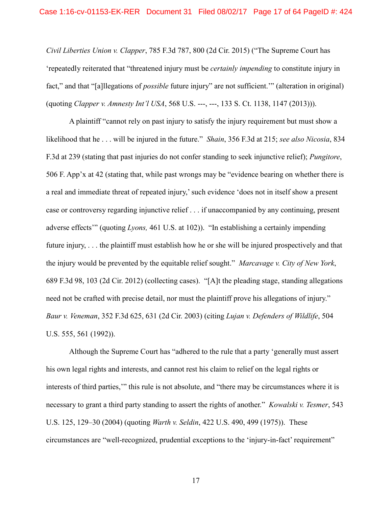*Civil Liberties Union v. Clapper*, 785 F.3d 787, 800 (2d Cir. 2015) ("The Supreme Court has 'repeatedly reiterated that "threatened injury must be *certainly impending* to constitute injury in fact," and that "[a]llegations of *possible* future injury" are not sufficient.'" (alteration in original) (quoting *Clapper v. Amnesty Int'l USA*, 568 U.S. ---, ---, 133 S. Ct. 1138, 1147 (2013))).

A plaintiff "cannot rely on past injury to satisfy the injury requirement but must show a likelihood that he . . . will be injured in the future." *Shain*, 356 F.3d at 215; *see also Nicosia*, 834 F.3d at 239 (stating that past injuries do not confer standing to seek injunctive relief); *Pungitore*, 506 F. App'x at 42 (stating that, while past wrongs may be "evidence bearing on whether there is a real and immediate threat of repeated injury,' such evidence 'does not in itself show a present case or controversy regarding injunctive relief . . . if unaccompanied by any continuing, present adverse effects'" (quoting *Lyons,* 461 U.S. at 102)). "In establishing a certainly impending future injury, . . . the plaintiff must establish how he or she will be injured prospectively and that the injury would be prevented by the equitable relief sought." *Marcavage v. City of New York*, 689 F.3d 98, 103 (2d Cir. 2012) (collecting cases). "[A]t the pleading stage, standing allegations need not be crafted with precise detail, nor must the plaintiff prove his allegations of injury." *Baur v. Veneman*, 352 F.3d 625, 631 (2d Cir. 2003) (citing *Lujan v. Defenders of Wildlife*, 504 U.S. 555, 561 (1992)).

Although the Supreme Court has "adhered to the rule that a party 'generally must assert his own legal rights and interests, and cannot rest his claim to relief on the legal rights or interests of third parties,'" this rule is not absolute, and "there may be circumstances where it is necessary to grant a third party standing to assert the rights of another." *Kowalski v. Tesmer*, 543 U.S. 125, 129–30 (2004) (quoting *Warth v. Seldin*, 422 U.S. 490, 499 (1975)). These circumstances are "well-recognized, prudential exceptions to the 'injury-in-fact' requirement"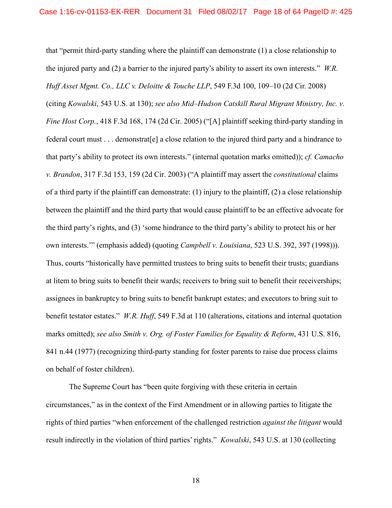that "permit third-party standing where the plaintiff can demonstrate (1) a close relationship to the injured party and (2) a barrier to the injured party's ability to assert its own interests." *W.R. Huff Asset Mgmt. Co., LLC v. Deloitte & Touche LLP*, 549 F.3d 100, 109–10 (2d Cir. 2008)

(citing *Kowalski*, 543 U.S. at 130); *see also Mid–Hudson Catskill Rural Migrant Ministry, Inc. v. Fine Host Corp.*, 418 F.3d 168, 174 (2d Cir. 2005) ("[A] plaintiff seeking third-party standing in federal court must . . . demonstrat[e] a close relation to the injured third party and a hindrance to that party's ability to protect its own interests." (internal quotation marks omitted)); *cf. Camacho v. Brandon*, 317 F.3d 153, 159 (2d Cir. 2003) ("A plaintiff may assert the *constitutional* claims of a third party if the plaintiff can demonstrate: (1) injury to the plaintiff, (2) a close relationship between the plaintiff and the third party that would cause plaintiff to be an effective advocate for the third party's rights, and (3) 'some hindrance to the third party's ability to protect his or her own interests.'" (emphasis added) (quoting *Campbell v. Louisiana*, 523 U.S. 392, 397 (1998))). Thus, courts "historically have permitted trustees to bring suits to benefit their trusts; guardians at litem to bring suits to benefit their wards; receivers to bring suit to benefit their receiverships; assignees in bankruptcy to bring suits to benefit bankrupt estates; and executors to bring suit to benefit testator estates." *W.R. Huff*, 549 F.3d at 110 (alterations, citations and internal quotation marks omitted); *see also Smith v. Org. of Foster Families for Equality & Reform*, 431 U.S. 816, 841 n.44 (1977) (recognizing third-party standing for foster parents to raise due process claims on behalf of foster children).

The Supreme Court has "been quite forgiving with these criteria in certain circumstances," as in the context of the First Amendment or in allowing parties to litigate the rights of third parties "when enforcement of the challenged restriction *against the litigant* would result indirectly in the violation of third parties' rights." *Kowalski*, 543 U.S. at 130 (collecting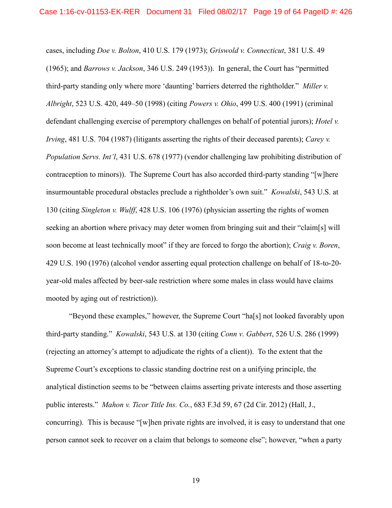cases, including *Doe v. Bolton*, 410 U.S. 179 (1973); *Griswold v. Connecticut*, 381 U.S. 49 (1965); and *Barrows v. Jackson*, 346 U.S. 249 (1953)). In general, the Court has "permitted third-party standing only where more 'daunting' barriers deterred the rightholder." *Miller v. Albright*, 523 U.S. 420, 449–50 (1998) (citing *Powers v. Ohio*, 499 U.S. 400 (1991) (criminal defendant challenging exercise of peremptory challenges on behalf of potential jurors); *Hotel v. Irving*, 481 U.S. 704 (1987) (litigants asserting the rights of their deceased parents); *Carey v. Population Servs. Int'l*, 431 U.S. 678 (1977) (vendor challenging law prohibiting distribution of contraception to minors)). The Supreme Court has also accorded third-party standing "[w]here insurmountable procedural obstacles preclude a rightholder's own suit." *Kowalski*, 543 U.S. at 130 (citing *Singleton v. Wulff*, 428 U.S. 106 (1976) (physician asserting the rights of women seeking an abortion where privacy may deter women from bringing suit and their "claim[s] will soon become at least technically moot" if they are forced to forgo the abortion); *Craig v. Boren*, 429 U.S. 190 (1976) (alcohol vendor asserting equal protection challenge on behalf of 18-to-20 year-old males affected by beer-sale restriction where some males in class would have claims mooted by aging out of restriction)).

"Beyond these examples," however, the Supreme Court "ha[s] not looked favorably upon third-party standing." *Kowalski*, 543 U.S. at 130 (citing *Conn v. Gabbert*, 526 U.S. 286 (1999) (rejecting an attorney's attempt to adjudicate the rights of a client)). To the extent that the Supreme Court's exceptions to classic standing doctrine rest on a unifying principle, the analytical distinction seems to be "between claims asserting private interests and those asserting public interests." *Mahon v. Ticor Title Ins. Co.*, 683 F.3d 59, 67 (2d Cir. 2012) (Hall, J., concurring). This is because "[w]hen private rights are involved, it is easy to understand that one person cannot seek to recover on a claim that belongs to someone else"; however, "when a party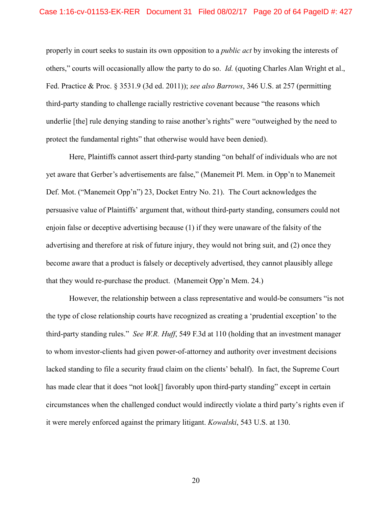properly in court seeks to sustain its own opposition to a *public act* by invoking the interests of others," courts will occasionally allow the party to do so. *Id.* (quoting Charles Alan Wright et al., Fed. Practice & Proc. § 3531.9 (3d ed. 2011)); *see also Barrows*, 346 U.S. at 257 (permitting third-party standing to challenge racially restrictive covenant because "the reasons which underlie [the] rule denying standing to raise another's rights" were "outweighed by the need to protect the fundamental rights" that otherwise would have been denied).

Here, Plaintiffs cannot assert third-party standing "on behalf of individuals who are not yet aware that Gerber's advertisements are false," (Manemeit Pl. Mem. in Opp'n to Manemeit Def. Mot. ("Manemeit Opp'n") 23, Docket Entry No. 21). The Court acknowledges the persuasive value of Plaintiffs' argument that, without third-party standing, consumers could not enjoin false or deceptive advertising because (1) if they were unaware of the falsity of the advertising and therefore at risk of future injury, they would not bring suit, and (2) once they become aware that a product is falsely or deceptively advertised, they cannot plausibly allege that they would re-purchase the product. (Manemeit Opp'n Mem. 24.)

However, the relationship between a class representative and would-be consumers "is not the type of close relationship courts have recognized as creating a 'prudential exception' to the third-party standing rules." *See W.R. Huff*, 549 F.3d at 110 (holding that an investment manager to whom investor-clients had given power-of-attorney and authority over investment decisions lacked standing to file a security fraud claim on the clients' behalf). In fact, the Supreme Court has made clear that it does "not look<sup>[]</sup> favorably upon third-party standing" except in certain circumstances when the challenged conduct would indirectly violate a third party's rights even if it were merely enforced against the primary litigant. *Kowalski*, 543 U.S. at 130.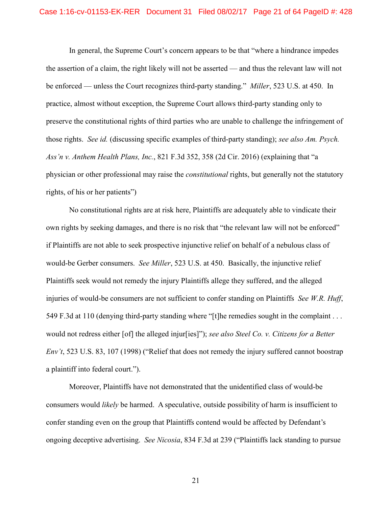In general, the Supreme Court's concern appears to be that "where a hindrance impedes the assertion of a claim, the right likely will not be asserted — and thus the relevant law will not be enforced — unless the Court recognizes third-party standing." *Miller*, 523 U.S. at 450. In practice, almost without exception, the Supreme Court allows third-party standing only to preserve the constitutional rights of third parties who are unable to challenge the infringement of those rights. *See id.* (discussing specific examples of third-party standing); *see also Am. Psych. Ass'n v. Anthem Health Plans, Inc.*, 821 F.3d 352, 358 (2d Cir. 2016) (explaining that "a physician or other professional may raise the *constitutional* rights, but generally not the statutory rights, of his or her patients")

No constitutional rights are at risk here, Plaintiffs are adequately able to vindicate their own rights by seeking damages, and there is no risk that "the relevant law will not be enforced" if Plaintiffs are not able to seek prospective injunctive relief on behalf of a nebulous class of would-be Gerber consumers. *See Miller*, 523 U.S. at 450. Basically, the injunctive relief Plaintiffs seek would not remedy the injury Plaintiffs allege they suffered, and the alleged injuries of would-be consumers are not sufficient to confer standing on Plaintiffs *See W.R. Huff*, 549 F.3d at 110 (denying third-party standing where "[t]he remedies sought in the complaint . . . would not redress either [of] the alleged injur[ies]"); *see also Steel Co. v. Citizens for a Better Env't*, 523 U.S. 83, 107 (1998) ("Relief that does not remedy the injury suffered cannot boostrap a plaintiff into federal court.").

Moreover, Plaintiffs have not demonstrated that the unidentified class of would-be consumers would *likely* be harmed. A speculative, outside possibility of harm is insufficient to confer standing even on the group that Plaintiffs contend would be affected by Defendant's ongoing deceptive advertising. *See Nicosia*, 834 F.3d at 239 ("Plaintiffs lack standing to pursue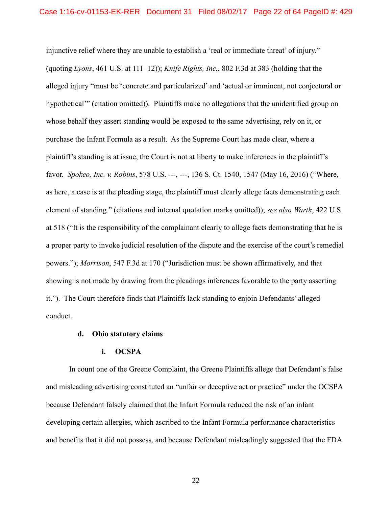injunctive relief where they are unable to establish a 'real or immediate threat' of injury." (quoting *Lyons*, 461 U.S. at 111–12)); *Knife Rights, Inc.*, 802 F.3d at 383 (holding that the alleged injury "must be 'concrete and particularized' and 'actual or imminent, not conjectural or hypothetical'" (citation omitted)). Plaintiffs make no allegations that the unidentified group on whose behalf they assert standing would be exposed to the same advertising, rely on it, or purchase the Infant Formula as a result. As the Supreme Court has made clear, where a plaintiff's standing is at issue, the Court is not at liberty to make inferences in the plaintiff's favor. *Spokeo, Inc. v. Robins*, 578 U.S. ---, ---, 136 S. Ct. 1540, 1547 (May 16, 2016) ("Where, as here, a case is at the pleading stage, the plaintiff must clearly allege facts demonstrating each element of standing." (citations and internal quotation marks omitted)); *see also Warth*, 422 U.S. at 518 ("It is the responsibility of the complainant clearly to allege facts demonstrating that he is a proper party to invoke judicial resolution of the dispute and the exercise of the court's remedial powers."); *Morrison*, 547 F.3d at 170 ("Jurisdiction must be shown affirmatively, and that showing is not made by drawing from the pleadings inferences favorable to the party asserting it."). The Court therefore finds that Plaintiffs lack standing to enjoin Defendants' alleged conduct.

## **d. Ohio statutory claims**

## **i. OCSPA**

In count one of the Greene Complaint, the Greene Plaintiffs allege that Defendant's false and misleading advertising constituted an "unfair or deceptive act or practice" under the OCSPA because Defendant falsely claimed that the Infant Formula reduced the risk of an infant developing certain allergies, which ascribed to the Infant Formula performance characteristics and benefits that it did not possess, and because Defendant misleadingly suggested that the FDA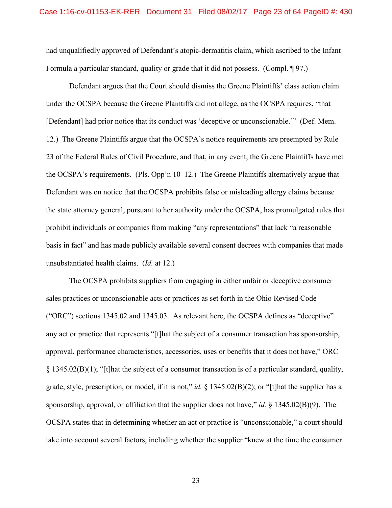had unqualifiedly approved of Defendant's atopic-dermatitis claim, which ascribed to the Infant Formula a particular standard, quality or grade that it did not possess. (Compl. ¶ 97.)

Defendant argues that the Court should dismiss the Greene Plaintiffs' class action claim under the OCSPA because the Greene Plaintiffs did not allege, as the OCSPA requires, "that [Defendant] had prior notice that its conduct was 'deceptive or unconscionable.'" (Def. Mem. 12.) The Greene Plaintiffs argue that the OCSPA's notice requirements are preempted by Rule 23 of the Federal Rules of Civil Procedure, and that, in any event, the Greene Plaintiffs have met the OCSPA's requirements. (Pls. Opp'n 10–12.) The Greene Plaintiffs alternatively argue that Defendant was on notice that the OCSPA prohibits false or misleading allergy claims because the state attorney general, pursuant to her authority under the OCSPA, has promulgated rules that prohibit individuals or companies from making "any representations" that lack "a reasonable basis in fact" and has made publicly available several consent decrees with companies that made unsubstantiated health claims. (*Id.* at 12.)

The OCSPA prohibits suppliers from engaging in either unfair or deceptive consumer sales practices or unconscionable acts or practices as set forth in the Ohio Revised Code ("ORC") sections 1345.02 and 1345.03. As relevant here, the OCSPA defines as "deceptive" any act or practice that represents "[t]hat the subject of a consumer transaction has sponsorship, approval, performance characteristics, accessories, uses or benefits that it does not have," ORC § 1345.02(B)(1); "[t]hat the subject of a consumer transaction is of a particular standard, quality, grade, style, prescription, or model, if it is not," *id.* § 1345.02(B)(2); or "[t]hat the supplier has a sponsorship, approval, or affiliation that the supplier does not have," *id.* § 1345.02(B)(9). The OCSPA states that in determining whether an act or practice is "unconscionable," a court should take into account several factors, including whether the supplier "knew at the time the consumer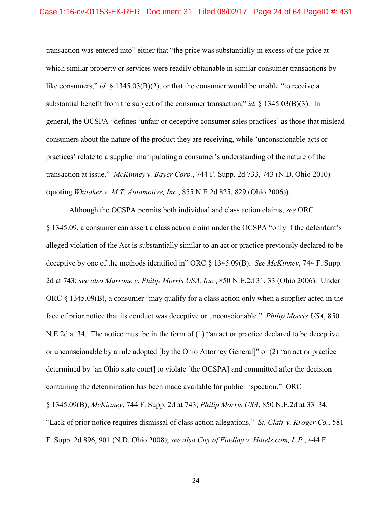transaction was entered into" either that "the price was substantially in excess of the price at which similar property or services were readily obtainable in similar consumer transactions by like consumers," *id.* § 1345.03(B)(2), or that the consumer would be unable "to receive a substantial benefit from the subject of the consumer transaction," *id.* § 1345.03(B)(3). In general, the OCSPA "defines 'unfair or deceptive consumer sales practices' as those that mislead consumers about the nature of the product they are receiving, while 'unconscionable acts or practices' relate to a supplier manipulating a consumer's understanding of the nature of the transaction at issue." *McKinney v. Bayer Corp.*, 744 F. Supp. 2d 733, 743 (N.D. Ohio 2010) (quoting *Whitaker v. M.T. Automotive, Inc.*, 855 N.E.2d 825, 829 (Ohio 2006)).

Although the OCSPA permits both individual and class action claims, *see* ORC § 1345.09, a consumer can assert a class action claim under the OCSPA "only if the defendant's alleged violation of the Act is substantially similar to an act or practice previously declared to be deceptive by one of the methods identified in" ORC § 1345.09(B). *See McKinney*, 744 F. Supp. 2d at 743; *see also Marrone v. Philip Morris USA, Inc.*, 850 N.E.2d 31, 33 (Ohio 2006). Under ORC § 1345.09(B), a consumer "may qualify for a class action only when a supplier acted in the face of prior notice that its conduct was deceptive or unconscionable." *Philip Morris USA*, 850 N.E.2d at 34. The notice must be in the form of (1) "an act or practice declared to be deceptive or unconscionable by a rule adopted [by the Ohio Attorney General]" or (2) "an act or practice determined by [an Ohio state court] to violate [the OCSPA] and committed after the decision containing the determination has been made available for public inspection." ORC § 1345.09(B); *McKinney*, 744 F. Supp. 2d at 743; *Philip Morris USA*, 850 N.E.2d at 33–34. "Lack of prior notice requires dismissal of class action allegations." *St. Clair v. Kroger Co.*, 581 F. Supp. 2d 896, 901 (N.D. Ohio 2008); *see also City of Findlay v. Hotels.com, L.P.*, 444 F.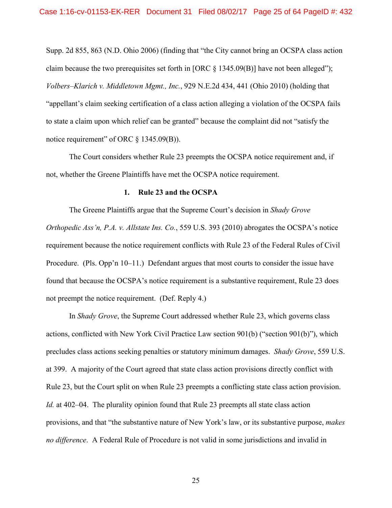Supp. 2d 855, 863 (N.D. Ohio 2006) (finding that "the City cannot bring an OCSPA class action claim because the two prerequisites set forth in [ORC § 1345.09(B)] have not been alleged"); *Volbers–Klarich v. Middletown Mgmt., Inc.*, 929 N.E.2d 434, 441 (Ohio 2010) (holding that "appellant's claim seeking certification of a class action alleging a violation of the OCSPA fails to state a claim upon which relief can be granted" because the complaint did not "satisfy the notice requirement" of ORC § 1345.09(B)).

The Court considers whether Rule 23 preempts the OCSPA notice requirement and, if not, whether the Greene Plaintiffs have met the OCSPA notice requirement.

### **1. Rule 23 and the OCSPA**

The Greene Plaintiffs argue that the Supreme Court's decision in *Shady Grove Orthopedic Ass'n, P.A. v. Allstate Ins. Co.*, 559 U.S. 393 (2010) abrogates the OCSPA's notice requirement because the notice requirement conflicts with Rule 23 of the Federal Rules of Civil Procedure. (Pls. Opp'n 10–11.) Defendant argues that most courts to consider the issue have found that because the OCSPA's notice requirement is a substantive requirement, Rule 23 does not preempt the notice requirement. (Def. Reply 4.)

In *Shady Grove*, the Supreme Court addressed whether Rule 23, which governs class actions, conflicted with New York Civil Practice Law section 901(b) ("section 901(b)"), which precludes class actions seeking penalties or statutory minimum damages. *Shady Grove*, 559 U.S. at 399. A majority of the Court agreed that state class action provisions directly conflict with Rule 23, but the Court split on when Rule 23 preempts a conflicting state class action provision. *Id.* at 402–04. The plurality opinion found that Rule 23 preempts all state class action provisions, and that "the substantive nature of New York's law, or its substantive purpose, *makes no difference*. A Federal Rule of Procedure is not valid in some jurisdictions and invalid in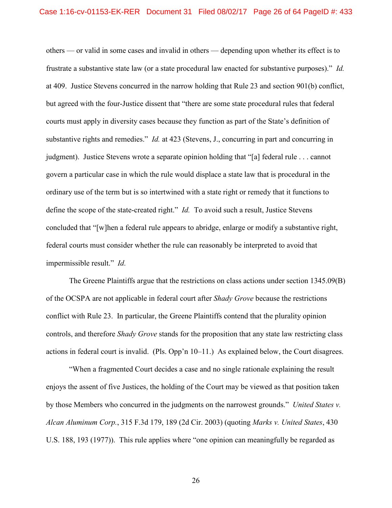others — or valid in some cases and invalid in others — depending upon whether its effect is to frustrate a substantive state law (or a state procedural law enacted for substantive purposes)." *Id.* at 409. Justice Stevens concurred in the narrow holding that Rule 23 and section 901(b) conflict, but agreed with the four-Justice dissent that "there are some state procedural rules that federal courts must apply in diversity cases because they function as part of the State's definition of substantive rights and remedies." *Id.* at 423 (Stevens, J., concurring in part and concurring in judgment). Justice Stevens wrote a separate opinion holding that "[a] federal rule . . . cannot govern a particular case in which the rule would displace a state law that is procedural in the ordinary use of the term but is so intertwined with a state right or remedy that it functions to define the scope of the state-created right." *Id.* To avoid such a result, Justice Stevens concluded that "[w]hen a federal rule appears to abridge, enlarge or modify a substantive right, federal courts must consider whether the rule can reasonably be interpreted to avoid that impermissible result." *Id.*

The Greene Plaintiffs argue that the restrictions on class actions under section 1345.09(B) of the OCSPA are not applicable in federal court after *Shady Grove* because the restrictions conflict with Rule 23. In particular, the Greene Plaintiffs contend that the plurality opinion controls, and therefore *Shady Grove* stands for the proposition that any state law restricting class actions in federal court is invalid. (Pls. Opp'n 10–11.) As explained below, the Court disagrees.

"When a fragmented Court decides a case and no single rationale explaining the result enjoys the assent of five Justices, the holding of the Court may be viewed as that position taken by those Members who concurred in the judgments on the narrowest grounds." *United States v. Alcan Aluminum Corp.*, 315 F.3d 179, 189 (2d Cir. 2003) (quoting *Marks v. United States*, 430 U.S. 188, 193 (1977)). This rule applies where "one opinion can meaningfully be regarded as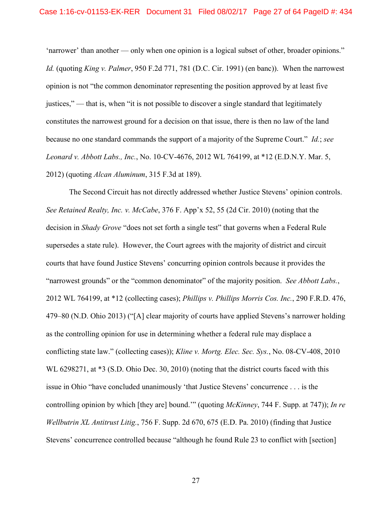'narrower' than another — only when one opinion is a logical subset of other, broader opinions." *Id.* (quoting *King v. Palmer*, 950 F.2d 771, 781 (D.C. Cir. 1991) (en banc)). When the narrowest opinion is not "the common denominator representing the position approved by at least five justices," — that is, when "it is not possible to discover a single standard that legitimately constitutes the narrowest ground for a decision on that issue, there is then no law of the land because no one standard commands the support of a majority of the Supreme Court." *Id.*; *see Leonard v. Abbott Labs., Inc.*, No. 10-CV-4676, 2012 WL 764199, at \*12 (E.D.N.Y. Mar. 5, 2012) (quoting *Alcan Aluminum*, 315 F.3d at 189).

The Second Circuit has not directly addressed whether Justice Stevens' opinion controls. *See Retained Realty, Inc. v. McCabe*, 376 F. App'x 52, 55 (2d Cir. 2010) (noting that the decision in *Shady Grove* "does not set forth a single test" that governs when a Federal Rule supersedes a state rule). However, the Court agrees with the majority of district and circuit courts that have found Justice Stevens' concurring opinion controls because it provides the "narrowest grounds" or the "common denominator" of the majority position. *See Abbott Labs.*, 2012 WL 764199, at \*12 (collecting cases); *Phillips v. Phillips Morris Cos. Inc.*, 290 F.R.D. 476, 479–80 (N.D. Ohio 2013) ("[A] clear majority of courts have applied Stevens's narrower holding as the controlling opinion for use in determining whether a federal rule may displace a conflicting state law." (collecting cases)); *Kline v. Mortg. Elec. Sec. Sys.*, No. 08-CV-408, 2010 WL 6298271, at  $*3$  (S.D. Ohio Dec. 30, 2010) (noting that the district courts faced with this issue in Ohio "have concluded unanimously 'that Justice Stevens' concurrence . . . is the controlling opinion by which [they are] bound.'" (quoting *McKinney*, 744 F. Supp. at 747)); *In re Wellbutrin XL Antitrust Litig.*, 756 F. Supp. 2d 670, 675 (E.D. Pa. 2010) (finding that Justice Stevens' concurrence controlled because "although he found Rule 23 to conflict with [section]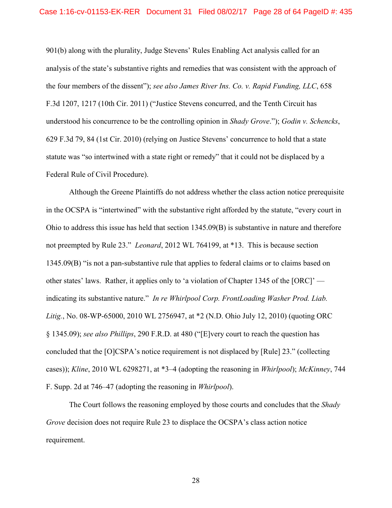901(b) along with the plurality, Judge Stevens' Rules Enabling Act analysis called for an analysis of the state's substantive rights and remedies that was consistent with the approach of the four members of the dissent"); *see also James River Ins. Co. v. Rapid Funding, LLC*, 658 F.3d 1207, 1217 (10th Cir. 2011) ("Justice Stevens concurred, and the Tenth Circuit has understood his concurrence to be the controlling opinion in *Shady Grove*."); *Godin v. Schencks*, 629 F.3d 79, 84 (1st Cir. 2010) (relying on Justice Stevens' concurrence to hold that a state statute was "so intertwined with a state right or remedy" that it could not be displaced by a Federal Rule of Civil Procedure).

Although the Greene Plaintiffs do not address whether the class action notice prerequisite in the OCSPA is "intertwined" with the substantive right afforded by the statute, "every court in Ohio to address this issue has held that section 1345.09(B) is substantive in nature and therefore not preempted by Rule 23." *Leonard*, 2012 WL 764199, at \*13. This is because section 1345.09(B) "is not a pan-substantive rule that applies to federal claims or to claims based on other states' laws. Rather, it applies only to 'a violation of Chapter 1345 of the [ORC]' indicating its substantive nature." *In re Whirlpool Corp. FrontLoading Washer Prod. Liab. Litig.*, No. 08-WP-65000, 2010 WL 2756947, at \*2 (N.D. Ohio July 12, 2010) (quoting ORC § 1345.09); *see also Phillips*, 290 F.R.D. at 480 ("[E]very court to reach the question has concluded that the [O]CSPA's notice requirement is not displaced by [Rule] 23." (collecting cases)); *Kline*, 2010 WL 6298271, at \*3–4 (adopting the reasoning in *Whirlpool*); *McKinney*, 744 F. Supp. 2d at 746–47 (adopting the reasoning in *Whirlpool*).

The Court follows the reasoning employed by those courts and concludes that the *Shady Grove* decision does not require Rule 23 to displace the OCSPA's class action notice requirement.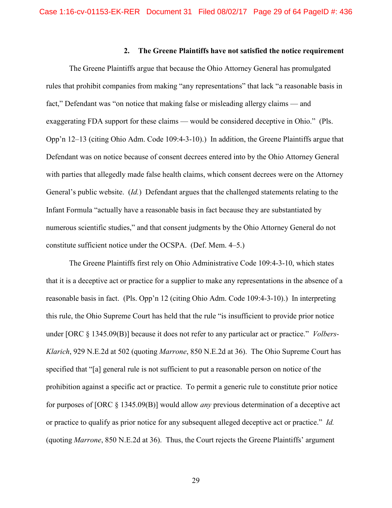## **2. The Greene Plaintiffs have not satisfied the notice requirement**

The Greene Plaintiffs argue that because the Ohio Attorney General has promulgated rules that prohibit companies from making "any representations" that lack "a reasonable basis in fact," Defendant was "on notice that making false or misleading allergy claims — and exaggerating FDA support for these claims — would be considered deceptive in Ohio." (Pls. Opp'n 12–13 (citing Ohio Adm. Code 109:4-3-10).) In addition, the Greene Plaintiffs argue that Defendant was on notice because of consent decrees entered into by the Ohio Attorney General with parties that allegedly made false health claims, which consent decrees were on the Attorney General's public website. (*Id.*) Defendant argues that the challenged statements relating to the Infant Formula "actually have a reasonable basis in fact because they are substantiated by numerous scientific studies," and that consent judgments by the Ohio Attorney General do not constitute sufficient notice under the OCSPA. (Def. Mem. 4–5.)

The Greene Plaintiffs first rely on Ohio Administrative Code 109:4-3-10, which states that it is a deceptive act or practice for a supplier to make any representations in the absence of a reasonable basis in fact. (Pls. Opp'n 12 (citing Ohio Adm. Code 109:4-3-10).) In interpreting this rule, the Ohio Supreme Court has held that the rule "is insufficient to provide prior notice under [ORC § 1345.09(B)] because it does not refer to any particular act or practice." *Volbers-Klarich*, 929 N.E.2d at 502 (quoting *Marrone*, 850 N.E.2d at 36). The Ohio Supreme Court has specified that "[a] general rule is not sufficient to put a reasonable person on notice of the prohibition against a specific act or practice. To permit a generic rule to constitute prior notice for purposes of [ORC § 1345.09(B)] would allow *any* previous determination of a deceptive act or practice to qualify as prior notice for any subsequent alleged deceptive act or practice." *Id.* (quoting *Marrone*, 850 N.E.2d at 36). Thus, the Court rejects the Greene Plaintiffs' argument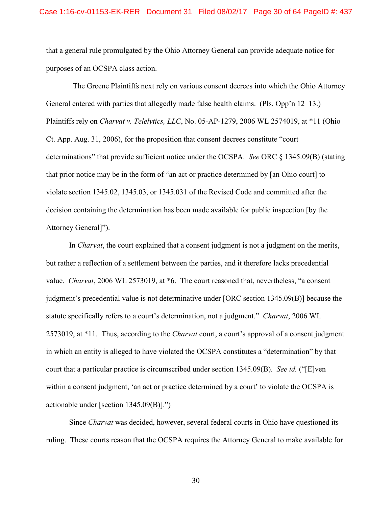that a general rule promulgated by the Ohio Attorney General can provide adequate notice for purposes of an OCSPA class action.

The Greene Plaintiffs next rely on various consent decrees into which the Ohio Attorney General entered with parties that allegedly made false health claims. (Pls. Opp'n 12–13.) Plaintiffs rely on *Charvat v. Telelytics, LLC*, No. 05-AP-1279, 2006 WL 2574019, at \*11 (Ohio Ct. App. Aug. 31, 2006), for the proposition that consent decrees constitute "court determinations" that provide sufficient notice under the OCSPA. *See* ORC § 1345.09(B) (stating that prior notice may be in the form of "an act or practice determined by [an Ohio court] to violate section 1345.02, 1345.03, or 1345.031 of the Revised Code and committed after the decision containing the determination has been made available for public inspection [by the Attorney General]").

In *Charvat*, the court explained that a consent judgment is not a judgment on the merits, but rather a reflection of a settlement between the parties, and it therefore lacks precedential value. *Charvat*, 2006 WL 2573019, at \*6. The court reasoned that, nevertheless, "a consent judgment's precedential value is not determinative under [ORC section 1345.09(B)] because the statute specifically refers to a court's determination, not a judgment." *Charvat*, 2006 WL 2573019, at \*11. Thus, according to the *Charvat* court, a court's approval of a consent judgment in which an entity is alleged to have violated the OCSPA constitutes a "determination" by that court that a particular practice is circumscribed under section 1345.09(B). *See id.* ("[E]ven within a consent judgment, 'an act or practice determined by a court' to violate the OCSPA is actionable under [section 1345.09(B)].")

Since *Charvat* was decided, however, several federal courts in Ohio have questioned its ruling. These courts reason that the OCSPA requires the Attorney General to make available for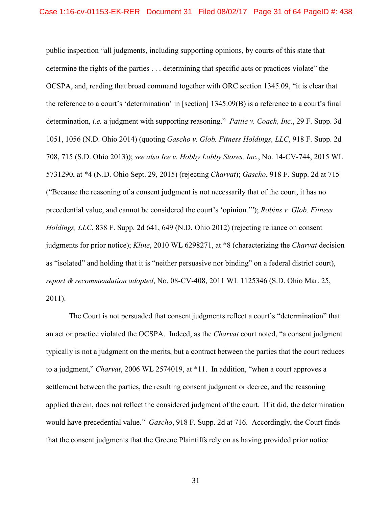public inspection "all judgments, including supporting opinions, by courts of this state that determine the rights of the parties . . . determining that specific acts or practices violate" the OCSPA, and, reading that broad command together with ORC section 1345.09, "it is clear that the reference to a court's 'determination' in [section] 1345.09(B) is a reference to a court's final determination, *i.e.* a judgment with supporting reasoning." *Pattie v. Coach, Inc.*, 29 F. Supp. 3d 1051, 1056 (N.D. Ohio 2014) (quoting *Gascho v. Glob. Fitness Holdings, LLC*, 918 F. Supp. 2d 708, 715 (S.D. Ohio 2013)); *see also Ice v. Hobby Lobby Stores, Inc.*, No. 14-CV-744, 2015 WL 5731290, at \*4 (N.D. Ohio Sept. 29, 2015) (rejecting *Charvat*); *Gascho*, 918 F. Supp. 2d at 715 ("Because the reasoning of a consent judgment is not necessarily that of the court, it has no precedential value, and cannot be considered the court's 'opinion.'"); *Robins v. Glob. Fitness Holdings, LLC*, 838 F. Supp. 2d 641, 649 (N.D. Ohio 2012) (rejecting reliance on consent judgments for prior notice); *Kline*, 2010 WL 6298271, at \*8 (characterizing the *Charvat* decision as "isolated" and holding that it is "neither persuasive nor binding" on a federal district court), *report & recommendation adopted*, No. 08-CV-408, 2011 WL 1125346 (S.D. Ohio Mar. 25, 2011).

The Court is not persuaded that consent judgments reflect a court's "determination" that an act or practice violated the OCSPA. Indeed, as the *Charvat* court noted, "a consent judgment typically is not a judgment on the merits, but a contract between the parties that the court reduces to a judgment," *Charvat*, 2006 WL 2574019, at \*11. In addition, "when a court approves a settlement between the parties, the resulting consent judgment or decree, and the reasoning applied therein, does not reflect the considered judgment of the court. If it did, the determination would have precedential value." *Gascho*, 918 F. Supp. 2d at 716. Accordingly, the Court finds that the consent judgments that the Greene Plaintiffs rely on as having provided prior notice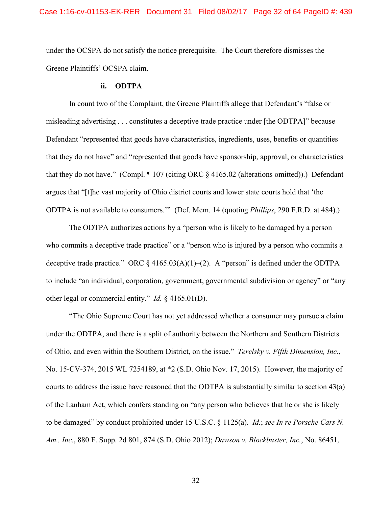under the OCSPA do not satisfy the notice prerequisite. The Court therefore dismisses the Greene Plaintiffs' OCSPA claim.

## **ii. ODTPA**

In count two of the Complaint, the Greene Plaintiffs allege that Defendant's "false or misleading advertising . . . constitutes a deceptive trade practice under [the ODTPA]" because Defendant "represented that goods have characteristics, ingredients, uses, benefits or quantities that they do not have" and "represented that goods have sponsorship, approval, or characteristics that they do not have." (Compl. ¶ 107 (citing ORC § 4165.02 (alterations omitted)).) Defendant argues that "[t]he vast majority of Ohio district courts and lower state courts hold that 'the ODTPA is not available to consumers.'" (Def. Mem. 14 (quoting *Phillips*, 290 F.R.D. at 484).)

The ODTPA authorizes actions by a "person who is likely to be damaged by a person who commits a deceptive trade practice" or a "person who is injured by a person who commits a deceptive trade practice." ORC  $\S$  4165.03(A)(1)–(2). A "person" is defined under the ODTPA to include "an individual, corporation, government, governmental subdivision or agency" or "any other legal or commercial entity." *Id.* § 4165.01(D).

"The Ohio Supreme Court has not yet addressed whether a consumer may pursue a claim under the ODTPA, and there is a split of authority between the Northern and Southern Districts of Ohio, and even within the Southern District, on the issue." *Terelsky v. Fifth Dimension, Inc.*, No. 15-CV-374, 2015 WL 7254189, at \*2 (S.D. Ohio Nov. 17, 2015). However, the majority of courts to address the issue have reasoned that the ODTPA is substantially similar to section 43(a) of the Lanham Act, which confers standing on "any person who believes that he or she is likely to be damaged" by conduct prohibited under 15 U.S.C. § 1125(a). *Id.*; *see In re Porsche Cars N. Am., Inc.*, 880 F. Supp. 2d 801, 874 (S.D. Ohio 2012); *Dawson v. Blockbuster, Inc.*, No. 86451,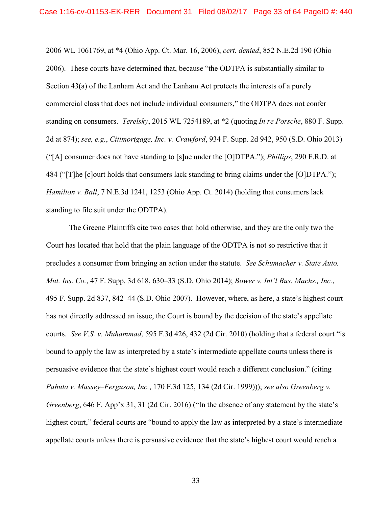2006 WL 1061769, at \*4 (Ohio App. Ct. Mar. 16, 2006), *cert. denied*, 852 N.E.2d 190 (Ohio 2006). These courts have determined that, because "the ODTPA is substantially similar to Section 43(a) of the Lanham Act and the Lanham Act protects the interests of a purely commercial class that does not include individual consumers," the ODTPA does not confer standing on consumers. *Terelsky*, 2015 WL 7254189, at \*2 (quoting *In re Porsche*, 880 F. Supp. 2d at 874); *see, e.g.*, *Citimortgage, Inc. v. Crawford*, 934 F. Supp. 2d 942, 950 (S.D. Ohio 2013) ("[A] consumer does not have standing to [s]ue under the [O]DTPA."); *Phillips*, 290 F.R.D. at 484 ("[T]he [c]ourt holds that consumers lack standing to bring claims under the [O]DTPA."); *Hamilton v. Ball*, 7 N.E.3d 1241, 1253 (Ohio App. Ct. 2014) (holding that consumers lack standing to file suit under the ODTPA).

The Greene Plaintiffs cite two cases that hold otherwise, and they are the only two the Court has located that hold that the plain language of the ODTPA is not so restrictive that it precludes a consumer from bringing an action under the statute. *See Schumacher v. State Auto. Mut. Ins. Co.*, 47 F. Supp. 3d 618, 630–33 (S.D. Ohio 2014); *Bower v. Int'l Bus. Machs., Inc.*, 495 F. Supp. 2d 837, 842–44 (S.D. Ohio 2007). However, where, as here, a state's highest court has not directly addressed an issue, the Court is bound by the decision of the state's appellate courts. *See V.S. v. Muhammad*, 595 F.3d 426, 432 (2d Cir. 2010) (holding that a federal court "is bound to apply the law as interpreted by a state's intermediate appellate courts unless there is persuasive evidence that the state's highest court would reach a different conclusion." (citing *Pahuta v. Massey–Ferguson, Inc.*, 170 F.3d 125, 134 (2d Cir. 1999))); *see also Greenberg v. Greenberg*, 646 F. App'x 31, 31 (2d Cir. 2016) ("In the absence of any statement by the state's highest court," federal courts are "bound to apply the law as interpreted by a state's intermediate appellate courts unless there is persuasive evidence that the state's highest court would reach a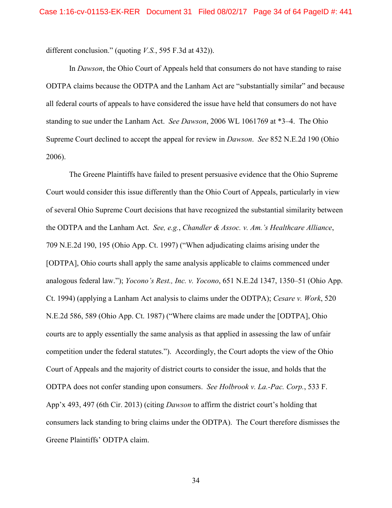different conclusion." (quoting *V.S.*, 595 F.3d at 432)).

In *Dawson*, the Ohio Court of Appeals held that consumers do not have standing to raise ODTPA claims because the ODTPA and the Lanham Act are "substantially similar" and because all federal courts of appeals to have considered the issue have held that consumers do not have standing to sue under the Lanham Act. *See Dawson*, 2006 WL 1061769 at \*3–4. The Ohio Supreme Court declined to accept the appeal for review in *Dawson*. *See* 852 N.E.2d 190 (Ohio 2006).

The Greene Plaintiffs have failed to present persuasive evidence that the Ohio Supreme Court would consider this issue differently than the Ohio Court of Appeals, particularly in view of several Ohio Supreme Court decisions that have recognized the substantial similarity between the ODTPA and the Lanham Act. *See, e.g.*, *Chandler & Assoc. v. Am.'s Healthcare Alliance*, 709 N.E.2d 190, 195 (Ohio App. Ct. 1997) ("When adjudicating claims arising under the [ODTPA], Ohio courts shall apply the same analysis applicable to claims commenced under analogous federal law."); *Yocono's Rest., Inc. v. Yocono*, 651 N.E.2d 1347, 1350–51 (Ohio App. Ct. 1994) (applying a Lanham Act analysis to claims under the ODTPA); *Cesare v. Work*, 520 N.E.2d 586, 589 (Ohio App. Ct. 1987) ("Where claims are made under the [ODTPA], Ohio courts are to apply essentially the same analysis as that applied in assessing the law of unfair competition under the federal statutes."). Accordingly, the Court adopts the view of the Ohio Court of Appeals and the majority of district courts to consider the issue, and holds that the ODTPA does not confer standing upon consumers. *See Holbrook v. La.-Pac. Corp.*, 533 F. App'x 493, 497 (6th Cir. 2013) (citing *Dawson* to affirm the district court's holding that consumers lack standing to bring claims under the ODTPA). The Court therefore dismisses the Greene Plaintiffs' ODTPA claim.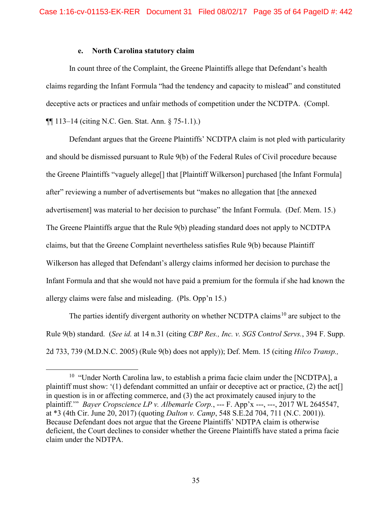# **e. North Carolina statutory claim**

In count three of the Complaint, the Greene Plaintiffs allege that Defendant's health claims regarding the Infant Formula "had the tendency and capacity to mislead" and constituted deceptive acts or practices and unfair methods of competition under the NCDTPA. (Compl. ¶¶ 113–14 (citing N.C. Gen. Stat. Ann. § 75-1.1).)

Defendant argues that the Greene Plaintiffs' NCDTPA claim is not pled with particularity and should be dismissed pursuant to Rule 9(b) of the Federal Rules of Civil procedure because the Greene Plaintiffs "vaguely allege[] that [Plaintiff Wilkerson] purchased [the Infant Formula] after" reviewing a number of advertisements but "makes no allegation that [the annexed advertisement] was material to her decision to purchase" the Infant Formula. (Def. Mem. 15.) The Greene Plaintiffs argue that the Rule 9(b) pleading standard does not apply to NCDTPA claims, but that the Greene Complaint nevertheless satisfies Rule 9(b) because Plaintiff Wilkerson has alleged that Defendant's allergy claims informed her decision to purchase the Infant Formula and that she would not have paid a premium for the formula if she had known the allergy claims were false and misleading. (Pls. Opp'n 15.)

The parties identify divergent authority on whether NCDTPA claims<sup>[10](#page-34-0)</sup> are subject to the Rule 9(b) standard. (*See id.* at 14 n.31 (citing *CBP Res., Inc. v. SGS Control Servs.*, 394 F. Supp. 2d 733, 739 (M.D.N.C. 2005) (Rule 9(b) does not apply)); Def. Mem. 15 (citing *Hilco Transp.,* 

<span id="page-34-0"></span><sup>&</sup>lt;sup>10</sup> "Under North Carolina law, to establish a prima facie claim under the [NCDTPA], a plaintiff must show: '(1) defendant committed an unfair or deceptive act or practice, (2) the act[] in question is in or affecting commerce, and (3) the act proximately caused injury to the plaintiff.'" *Bayer Cropscience LP v. Albemarle Corp.*, --- F. App'x ---, ---, 2017 WL 2645547, at \*3 (4th Cir. June 20, 2017) (quoting *Dalton v. Camp*, 548 S.E.2d 704, 711 (N.C. 2001)). Because Defendant does not argue that the Greene Plaintiffs' NDTPA claim is otherwise deficient, the Court declines to consider whether the Greene Plaintiffs have stated a prima facie claim under the NDTPA.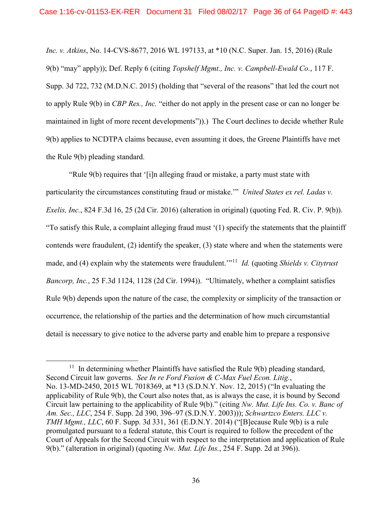*Inc. v. Atkins*, No. 14-CVS-8677, 2016 WL 197133, at \*10 (N.C. Super. Jan. 15, 2016) (Rule 9(b) "may" apply)); Def. Reply 6 (citing *Topshelf Mgmt., Inc. v. Campbell-Ewald Co.*, 117 F. Supp. 3d 722, 732 (M.D.N.C. 2015) (holding that "several of the reasons" that led the court not to apply Rule 9(b) in *CBP Res., Inc.* "either do not apply in the present case or can no longer be maintained in light of more recent developments")).) The Court declines to decide whether Rule 9(b) applies to NCDTPA claims because, even assuming it does, the Greene Plaintiffs have met the Rule 9(b) pleading standard.

"Rule 9(b) requires that '[i]n alleging fraud or mistake, a party must state with particularity the circumstances constituting fraud or mistake.'" *United States ex rel. Ladas v. Exelis, Inc.*, 824 F.3d 16, 25 (2d Cir. 2016) (alteration in original) (quoting Fed. R. Civ. P. 9(b)). "To satisfy this Rule, a complaint alleging fraud must '(1) specify the statements that the plaintiff contends were fraudulent, (2) identify the speaker, (3) state where and when the statements were made, and (4) explain why the statements were fraudulent.'"[11](#page-35-0) *Id.* (quoting *Shields v. Citytrust Bancorp, Inc.*, 25 F.3d 1124, 1128 (2d Cir. 1994)). "Ultimately, whether a complaint satisfies Rule 9(b) depends upon the nature of the case, the complexity or simplicity of the transaction or occurrence, the relationship of the parties and the determination of how much circumstantial detail is necessary to give notice to the adverse party and enable him to prepare a responsive

<span id="page-35-0"></span> $11$  In determining whether Plaintiffs have satisfied the Rule  $9(b)$  pleading standard, Second Circuit law governs. *See In re Ford Fusion & C-Max Fuel Econ. Litig.*, No. 13-MD-2450, 2015 WL 7018369, at \*13 (S.D.N.Y. Nov. 12, 2015) ("In evaluating the applicability of Rule 9(b), the Court also notes that, as is always the case, it is bound by Second Circuit law pertaining to the applicability of Rule 9(b)." (citing *Nw. Mut. Life Ins. Co. v. Banc of Am. Sec., LLC*, 254 F. Supp. 2d 390, 396–97 (S.D.N.Y. 2003))); *Schwartzco Enters. LLC v. TMH Mgmt., LLC*, 60 F. Supp. 3d 331, 361 (E.D.N.Y. 2014) ("[B] ecause Rule 9(b) is a rule promulgated pursuant to a federal statute, this Court is required to follow the precedent of the Court of Appeals for the Second Circuit with respect to the interpretation and application of Rule 9(b)." (alteration in original) (quoting *Nw. Mut. Life Ins.*, 254 F. Supp. 2d at 396)).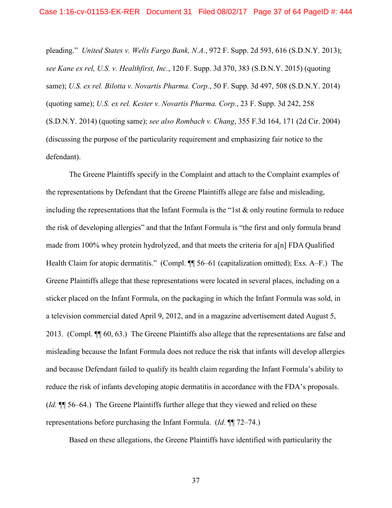pleading." *United States v. Wells Fargo Bank, N.A.*, 972 F. Supp. 2d 593, 616 (S.D.N.Y. 2013); *see Kane ex rel, U.S. v. Healthfirst, Inc.*, 120 F. Supp. 3d 370, 383 (S.D.N.Y. 2015) (quoting same); *U.S. ex rel. Bilotta v. Novartis Pharma. Corp.*, 50 F. Supp. 3d 497, 508 (S.D.N.Y. 2014) (quoting same); *U.S. ex rel. Kester v. Novartis Pharma. Corp.*, 23 F. Supp. 3d 242, 258 (S.D.N.Y. 2014) (quoting same); *see also Rombach v. Chang*, 355 F.3d 164, 171 (2d Cir. 2004) (discussing the purpose of the particularity requirement and emphasizing fair notice to the defendant).

The Greene Plaintiffs specify in the Complaint and attach to the Complaint examples of the representations by Defendant that the Greene Plaintiffs allege are false and misleading, including the representations that the Infant Formula is the "1st  $\&$  only routine formula to reduce the risk of developing allergies" and that the Infant Formula is "the first and only formula brand made from 100% whey protein hydrolyzed, and that meets the criteria for a[n] FDA Qualified Health Claim for atopic dermatitis." (Compl.  $\P$  56–61 (capitalization omitted); Exs. A–F.) The Greene Plaintiffs allege that these representations were located in several places, including on a sticker placed on the Infant Formula, on the packaging in which the Infant Formula was sold, in a television commercial dated April 9, 2012, and in a magazine advertisement dated August 5, 2013. (Compl. ¶¶ 60, 63.) The Greene Plaintiffs also allege that the representations are false and misleading because the Infant Formula does not reduce the risk that infants will develop allergies and because Defendant failed to qualify its health claim regarding the Infant Formula's ability to reduce the risk of infants developing atopic dermatitis in accordance with the FDA's proposals. (*Id.* ¶¶ 56–64.) The Greene Plaintiffs further allege that they viewed and relied on these representations before purchasing the Infant Formula. (*Id.* ¶¶ 72–74.)

Based on these allegations, the Greene Plaintiffs have identified with particularity the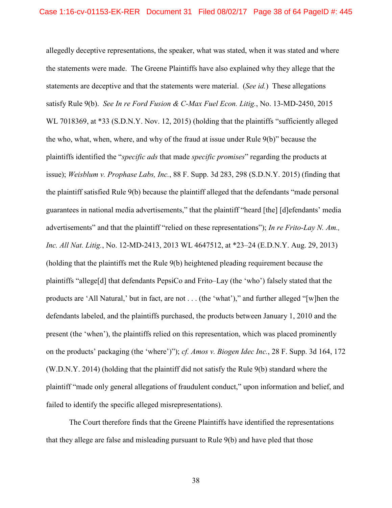allegedly deceptive representations, the speaker, what was stated, when it was stated and where the statements were made. The Greene Plaintiffs have also explained why they allege that the statements are deceptive and that the statements were material. (*See id.*) These allegations satisfy Rule 9(b). *See In re Ford Fusion & C-Max Fuel Econ. Litig.*, No. 13-MD-2450, 2015 WL 7018369, at \*33 (S.D.N.Y. Nov. 12, 2015) (holding that the plaintiffs "sufficiently alleged the who, what, when, where, and why of the fraud at issue under Rule 9(b)" because the plaintiffs identified the "*specific ads* that made *specific promises*" regarding the products at issue); *Weisblum v. Prophase Labs, Inc.*, 88 F. Supp. 3d 283, 298 (S.D.N.Y. 2015) (finding that the plaintiff satisfied Rule 9(b) because the plaintiff alleged that the defendants "made personal guarantees in national media advertisements," that the plaintiff "heard [the] [d]efendants' media advertisements" and that the plaintiff "relied on these representations"); *In re Frito-Lay N. Am., Inc. All Nat. Litig.*, No. 12-MD-2413, 2013 WL 4647512, at \*23–24 (E.D.N.Y. Aug. 29, 2013) (holding that the plaintiffs met the Rule 9(b) heightened pleading requirement because the plaintiffs "allege[d] that defendants PepsiCo and Frito–Lay (the 'who') falsely stated that the products are 'All Natural,' but in fact, are not . . . (the 'what')," and further alleged "[w]hen the defendants labeled, and the plaintiffs purchased, the products between January 1, 2010 and the present (the 'when'), the plaintiffs relied on this representation, which was placed prominently on the products' packaging (the 'where')"); *cf. Amos v. Biogen Idec Inc.*, 28 F. Supp. 3d 164, 172 (W.D.N.Y. 2014) (holding that the plaintiff did not satisfy the Rule 9(b) standard where the plaintiff "made only general allegations of fraudulent conduct," upon information and belief, and failed to identify the specific alleged misrepresentations).

The Court therefore finds that the Greene Plaintiffs have identified the representations that they allege are false and misleading pursuant to Rule 9(b) and have pled that those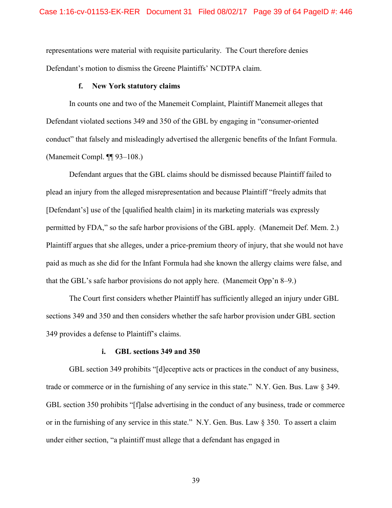representations were material with requisite particularity. The Court therefore denies Defendant's motion to dismiss the Greene Plaintiffs' NCDTPA claim.

## **f. New York statutory claims**

In counts one and two of the Manemeit Complaint, Plaintiff Manemeit alleges that Defendant violated sections 349 and 350 of the GBL by engaging in "consumer-oriented conduct" that falsely and misleadingly advertised the allergenic benefits of the Infant Formula. (Manemeit Compl. ¶¶ 93–108.)

Defendant argues that the GBL claims should be dismissed because Plaintiff failed to plead an injury from the alleged misrepresentation and because Plaintiff "freely admits that [Defendant's] use of the [qualified health claim] in its marketing materials was expressly permitted by FDA," so the safe harbor provisions of the GBL apply. (Manemeit Def. Mem. 2.) Plaintiff argues that she alleges, under a price-premium theory of injury, that she would not have paid as much as she did for the Infant Formula had she known the allergy claims were false, and that the GBL's safe harbor provisions do not apply here. (Manemeit Opp'n 8–9.)

The Court first considers whether Plaintiff has sufficiently alleged an injury under GBL sections 349 and 350 and then considers whether the safe harbor provision under GBL section 349 provides a defense to Plaintiff's claims.

## **i. GBL sections 349 and 350**

GBL section 349 prohibits "[d]eceptive acts or practices in the conduct of any business, trade or commerce or in the furnishing of any service in this state." N.Y. Gen. Bus. Law § 349. GBL section 350 prohibits "[f]alse advertising in the conduct of any business, trade or commerce or in the furnishing of any service in this state." N.Y. Gen. Bus. Law § 350. To assert a claim under either section, "a plaintiff must allege that a defendant has engaged in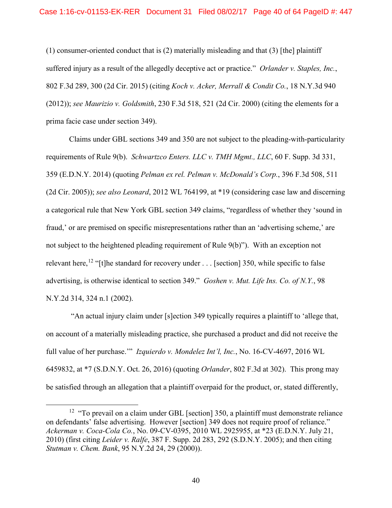(1) consumer-oriented conduct that is (2) materially misleading and that (3) [the] plaintiff suffered injury as a result of the allegedly deceptive act or practice." *Orlander v. Staples, Inc.*, 802 F.3d 289, 300 (2d Cir. 2015) (citing *Koch v. Acker, Merrall & Condit Co.*, 18 N.Y.3d 940 (2012)); *see Maurizio v. Goldsmith*, 230 F.3d 518, 521 (2d Cir. 2000) (citing the elements for a prima facie case under section 349).

Claims under GBL sections 349 and 350 are not subject to the pleading-with-particularity requirements of Rule 9(b). *Schwartzco Enters. LLC v. TMH Mgmt., LLC*, 60 F. Supp. 3d 331, 359 (E.D.N.Y. 2014) (quoting *Pelman ex rel. Pelman v. McDonald's Corp.*, 396 F.3d 508, 511 (2d Cir. 2005)); *see also Leonard*, 2012 WL 764199, at \*19 (considering case law and discerning a categorical rule that New York GBL section 349 claims, "regardless of whether they 'sound in fraud,' or are premised on specific misrepresentations rather than an 'advertising scheme,' are not subject to the heightened pleading requirement of Rule 9(b)"). With an exception not relevant here,<sup>[12](#page-39-0)</sup> "[t]he standard for recovery under . . . [section] 350, while specific to false advertising, is otherwise identical to section 349." *Goshen v. Mut. Life Ins. Co. of N.Y.*, 98 N.Y.2d 314, 324 n.1 (2002).

"An actual injury claim under [s]ection 349 typically requires a plaintiff to 'allege that, on account of a materially misleading practice, she purchased a product and did not receive the full value of her purchase.'" *Izquierdo v. Mondelez Int'l, Inc.*, No. 16-CV-4697, 2016 WL 6459832, at \*7 (S.D.N.Y. Oct. 26, 2016) (quoting *Orlander*, 802 F.3d at 302). This prong may be satisfied through an allegation that a plaintiff overpaid for the product, or, stated differently,

<span id="page-39-0"></span><sup>&</sup>lt;sup>12</sup> "To prevail on a claim under GBL [section] 350, a plaintiff must demonstrate reliance on defendants' false advertising. However [section] 349 does not require proof of reliance." *Ackerman v. Coca-Cola Co.*, No. 09-CV-0395, 2010 WL 2925955, at \*23 (E.D.N.Y. July 21, 2010) (first citing *Leider v. Ralfe*, 387 F. Supp. 2d 283, 292 (S.D.N.Y. 2005); and then citing *Stutman v. Chem. Bank*, 95 N.Y.2d 24, 29 (2000)).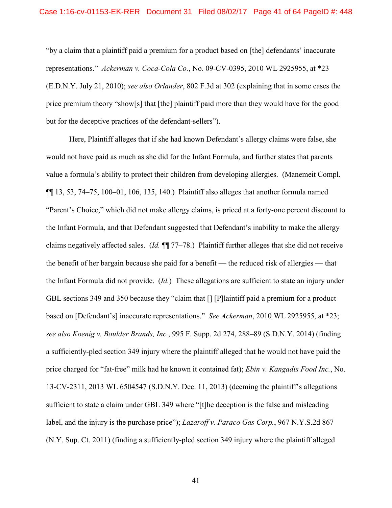"by a claim that a plaintiff paid a premium for a product based on [the] defendants' inaccurate representations." *Ackerman v. Coca-Cola Co.*, No. 09-CV-0395, 2010 WL 2925955, at \*23 (E.D.N.Y. July 21, 2010); *see also Orlander*, 802 F.3d at 302 (explaining that in some cases the price premium theory "show[s] that [the] plaintiff paid more than they would have for the good but for the deceptive practices of the defendant-sellers").

Here, Plaintiff alleges that if she had known Defendant's allergy claims were false, she would not have paid as much as she did for the Infant Formula, and further states that parents value a formula's ability to protect their children from developing allergies. (Manemeit Compl.  $\P$ [13, 53, 74–75, 100–01, 106, 135, 140.) Plaintiff also alleges that another formula named "Parent's Choice," which did not make allergy claims, is priced at a forty-one percent discount to the Infant Formula, and that Defendant suggested that Defendant's inability to make the allergy claims negatively affected sales. (*Id.* ¶¶ 77–78.) Plaintiff further alleges that she did not receive the benefit of her bargain because she paid for a benefit — the reduced risk of allergies — that the Infant Formula did not provide. (*Id.*) These allegations are sufficient to state an injury under GBL sections 349 and 350 because they "claim that [] [P]laintiff paid a premium for a product based on [Defendant's] inaccurate representations." *See Ackerman*, 2010 WL 2925955, at \*23; *see also Koenig v. Boulder Brands, Inc.*, 995 F. Supp. 2d 274, 288–89 (S.D.N.Y. 2014) (finding a sufficiently-pled section 349 injury where the plaintiff alleged that he would not have paid the price charged for "fat-free" milk had he known it contained fat); *Ebin v. Kangadis Food Inc.*, No. 13-CV-2311, 2013 WL 6504547 (S.D.N.Y. Dec. 11, 2013) (deeming the plaintiff's allegations sufficient to state a claim under GBL 349 where "[t]he deception is the false and misleading label, and the injury is the purchase price"); *Lazaroff v. Paraco Gas Corp.*, 967 N.Y.S.2d 867 (N.Y. Sup. Ct. 2011) (finding a sufficiently-pled section 349 injury where the plaintiff alleged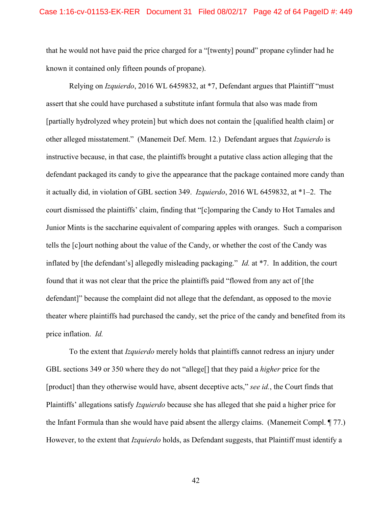that he would not have paid the price charged for a "[twenty] pound" propane cylinder had he known it contained only fifteen pounds of propane).

Relying on *Izquierdo*, 2016 WL 6459832, at \*7, Defendant argues that Plaintiff "must assert that she could have purchased a substitute infant formula that also was made from [partially hydrolyzed whey protein] but which does not contain the [qualified health claim] or other alleged misstatement." (Manemeit Def. Mem. 12.) Defendant argues that *Izquierdo* is instructive because, in that case, the plaintiffs brought a putative class action alleging that the defendant packaged its candy to give the appearance that the package contained more candy than it actually did, in violation of GBL section 349. *Izquierdo*, 2016 WL 6459832, at \*1–2. The court dismissed the plaintiffs' claim, finding that "[c]omparing the Candy to Hot Tamales and Junior Mints is the saccharine equivalent of comparing apples with oranges. Such a comparison tells the [c]ourt nothing about the value of the Candy, or whether the cost of the Candy was inflated by [the defendant's] allegedly misleading packaging." *Id.* at \*7. In addition, the court found that it was not clear that the price the plaintiffs paid "flowed from any act of [the defendant]" because the complaint did not allege that the defendant, as opposed to the movie theater where plaintiffs had purchased the candy, set the price of the candy and benefited from its price inflation. *Id.*

To the extent that *Izquierdo* merely holds that plaintiffs cannot redress an injury under GBL sections 349 or 350 where they do not "allege[] that they paid a *higher* price for the [product] than they otherwise would have, absent deceptive acts," *see id.*, the Court finds that Plaintiffs' allegations satisfy *Izquierdo* because she has alleged that she paid a higher price for the Infant Formula than she would have paid absent the allergy claims. (Manemeit Compl. ¶ 77.) However, to the extent that *Izquierdo* holds, as Defendant suggests, that Plaintiff must identify a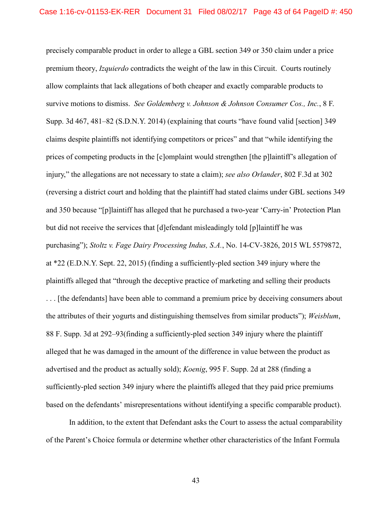precisely comparable product in order to allege a GBL section 349 or 350 claim under a price premium theory, *Izquierdo* contradicts the weight of the law in this Circuit. Courts routinely allow complaints that lack allegations of both cheaper and exactly comparable products to survive motions to dismiss. *See Goldemberg v. Johnson & Johnson Consumer Cos., Inc.*, 8 F. Supp. 3d 467, 481–82 (S.D.N.Y. 2014) (explaining that courts "have found valid [section] 349 claims despite plaintiffs not identifying competitors or prices" and that "while identifying the prices of competing products in the [c]omplaint would strengthen [the p]laintiff's allegation of injury," the allegations are not necessary to state a claim); *see also Orlander*, 802 F.3d at 302 (reversing a district court and holding that the plaintiff had stated claims under GBL sections 349 and 350 because "[p]laintiff has alleged that he purchased a two-year 'Carry-in' Protection Plan but did not receive the services that [d]efendant misleadingly told [p]laintiff he was purchasing"); *Stoltz v. Fage Dairy Processing Indus, S.A.*, No. 14-CV-3826, 2015 WL 5579872, at \*22 (E.D.N.Y. Sept. 22, 2015) (finding a sufficiently-pled section 349 injury where the plaintiffs alleged that "through the deceptive practice of marketing and selling their products . . . [the defendants] have been able to command a premium price by deceiving consumers about the attributes of their yogurts and distinguishing themselves from similar products"); *Weisblum*, 88 F. Supp. 3d at 292–93(finding a sufficiently-pled section 349 injury where the plaintiff alleged that he was damaged in the amount of the difference in value between the product as advertised and the product as actually sold); *Koenig*, 995 F. Supp. 2d at 288 (finding a sufficiently-pled section 349 injury where the plaintiffs alleged that they paid price premiums based on the defendants' misrepresentations without identifying a specific comparable product).

In addition, to the extent that Defendant asks the Court to assess the actual comparability of the Parent's Choice formula or determine whether other characteristics of the Infant Formula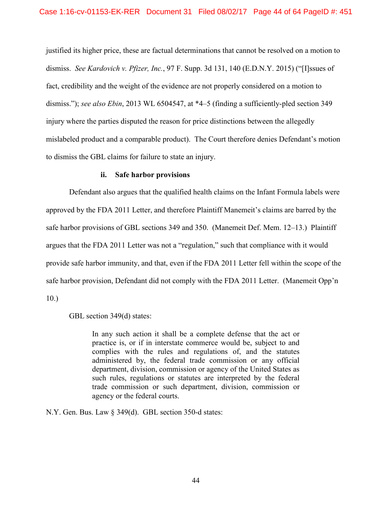justified its higher price, these are factual determinations that cannot be resolved on a motion to dismiss. *See Kardovich v. Pfizer, Inc.*, 97 F. Supp. 3d 131, 140 (E.D.N.Y. 2015) ("[I]ssues of fact, credibility and the weight of the evidence are not properly considered on a motion to dismiss."); *see also Ebin*, 2013 WL 6504547, at \*4–5 (finding a sufficiently-pled section 349 injury where the parties disputed the reason for price distinctions between the allegedly mislabeled product and a comparable product). The Court therefore denies Defendant's motion to dismiss the GBL claims for failure to state an injury.

## **ii. Safe harbor provisions**

Defendant also argues that the qualified health claims on the Infant Formula labels were approved by the FDA 2011 Letter, and therefore Plaintiff Manemeit's claims are barred by the safe harbor provisions of GBL sections 349 and 350. (Manemeit Def. Mem. 12–13.) Plaintiff argues that the FDA 2011 Letter was not a "regulation," such that compliance with it would provide safe harbor immunity, and that, even if the FDA 2011 Letter fell within the scope of the safe harbor provision, Defendant did not comply with the FDA 2011 Letter. (Manemeit Opp'n 10.)

GBL section 349(d) states:

In any such action it shall be a complete defense that the act or practice is, or if in interstate commerce would be, subject to and complies with the rules and regulations of, and the statutes administered by, the federal trade commission or any official department, division, commission or agency of the United States as such rules, regulations or statutes are interpreted by the federal trade commission or such department, division, commission or agency or the federal courts.

N.Y. Gen. Bus. Law § 349(d). GBL section 350-d states: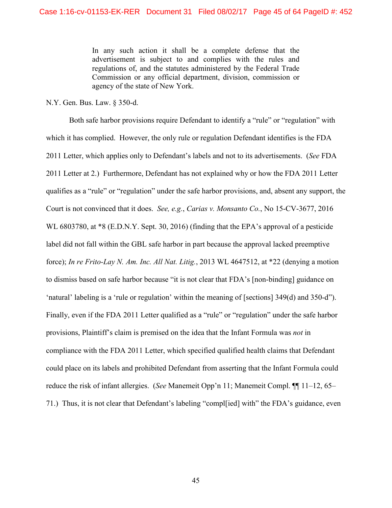In any such action it shall be a complete defense that the advertisement is subject to and complies with the rules and regulations of, and the statutes administered by the Federal Trade Commission or any official department, division, commission or agency of the state of New York.

N.Y. Gen. Bus. Law. § 350-d.

Both safe harbor provisions require Defendant to identify a "rule" or "regulation" with which it has complied. However, the only rule or regulation Defendant identifies is the FDA 2011 Letter, which applies only to Defendant's labels and not to its advertisements. (*See* FDA 2011 Letter at 2.) Furthermore, Defendant has not explained why or how the FDA 2011 Letter qualifies as a "rule" or "regulation" under the safe harbor provisions, and, absent any support, the Court is not convinced that it does. *See, e.g.*, *Carias v. Monsanto Co.*, No 15-CV-3677, 2016 WL 6803780, at  $*8$  (E.D.N.Y. Sept. 30, 2016) (finding that the EPA's approval of a pesticide label did not fall within the GBL safe harbor in part because the approval lacked preemptive force); *In re Frito-Lay N. Am. Inc. All Nat. Litig.*, 2013 WL 4647512, at \*22 (denying a motion to dismiss based on safe harbor because "it is not clear that FDA's [non-binding] guidance on 'natural' labeling is a 'rule or regulation' within the meaning of [sections] 349(d) and 350-d"). Finally, even if the FDA 2011 Letter qualified as a "rule" or "regulation" under the safe harbor provisions, Plaintiff's claim is premised on the idea that the Infant Formula was *not* in compliance with the FDA 2011 Letter, which specified qualified health claims that Defendant could place on its labels and prohibited Defendant from asserting that the Infant Formula could reduce the risk of infant allergies. (*See* Manemeit Opp'n 11; Manemeit Compl. ¶¶ 11–12, 65– 71.) Thus, it is not clear that Defendant's labeling "compl[ied] with" the FDA's guidance, even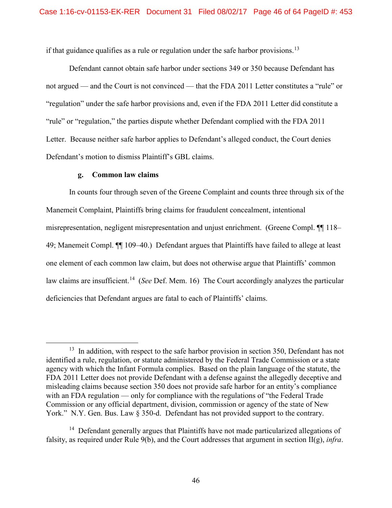if that guidance qualifies as a rule or regulation under the safe harbor provisions.<sup>[13](#page-45-0)</sup>

Defendant cannot obtain safe harbor under sections 349 or 350 because Defendant has not argued — and the Court is not convinced — that the FDA 2011 Letter constitutes a "rule" or "regulation" under the safe harbor provisions and, even if the FDA 2011 Letter did constitute a "rule" or "regulation," the parties dispute whether Defendant complied with the FDA 2011 Letter. Because neither safe harbor applies to Defendant's alleged conduct, the Court denies Defendant's motion to dismiss Plaintiff's GBL claims.

## **g. Common law claims**

In counts four through seven of the Greene Complaint and counts three through six of the Manemeit Complaint, Plaintiffs bring claims for fraudulent concealment, intentional misrepresentation, negligent misrepresentation and unjust enrichment. (Greene Compl. ¶¶ 118– 49; Manemeit Compl. ¶¶ 109–40.) Defendant argues that Plaintiffs have failed to allege at least one element of each common law claim, but does not otherwise argue that Plaintiffs' common law claims are insufficient.[14](#page-45-1) (*See* Def. Mem. 16) The Court accordingly analyzes the particular deficiencies that Defendant argues are fatal to each of Plaintiffs' claims.

<span id="page-45-0"></span><sup>&</sup>lt;sup>13</sup> In addition, with respect to the safe harbor provision in section 350, Defendant has not identified a rule, regulation, or statute administered by the Federal Trade Commission or a state agency with which the Infant Formula complies. Based on the plain language of the statute, the FDA 2011 Letter does not provide Defendant with a defense against the allegedly deceptive and misleading claims because section 350 does not provide safe harbor for an entity's compliance with an FDA regulation — only for compliance with the regulations of "the Federal Trade" Commission or any official department, division, commission or agency of the state of New York." N.Y. Gen. Bus. Law § 350-d. Defendant has not provided support to the contrary.

<span id="page-45-1"></span><sup>&</sup>lt;sup>14</sup> Defendant generally argues that Plaintiffs have not made particularized allegations of falsity, as required under Rule 9(b), and the Court addresses that argument in section II(g), *infra*.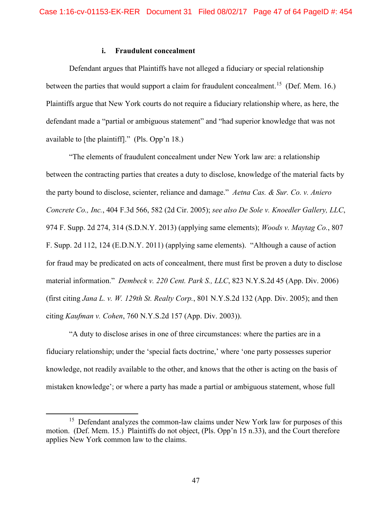# **i. Fraudulent concealment**

Defendant argues that Plaintiffs have not alleged a fiduciary or special relationship between the parties that would support a claim for fraudulent concealment.<sup>[15](#page-46-0)</sup> (Def. Mem. 16.) Plaintiffs argue that New York courts do not require a fiduciary relationship where, as here, the defendant made a "partial or ambiguous statement" and "had superior knowledge that was not available to [the plaintiff]." (Pls. Opp'n 18.)

"The elements of fraudulent concealment under New York law are: a relationship between the contracting parties that creates a duty to disclose, knowledge of the material facts by the party bound to disclose, scienter, reliance and damage." *Aetna Cas. & Sur. Co. v. Aniero Concrete Co., Inc.*, 404 F.3d 566, 582 (2d Cir. 2005); *see also De Sole v. Knoedler Gallery, LLC*, 974 F. Supp. 2d 274, 314 (S.D.N.Y. 2013) (applying same elements); *Woods v. Maytag Co.*, 807 F. Supp. 2d 112, 124 (E.D.N.Y. 2011) (applying same elements)."Although a cause of action for fraud may be predicated on acts of concealment, there must first be proven a duty to disclose material information." *Dembeck v. 220 Cent. Park S., LLC*, 823 N.Y.S.2d 45 (App. Div. 2006) (first citing *Jana L. v. W. 129th St. Realty Corp.*, 801 N.Y.S.2d 132 (App. Div. 2005); and then citing *Kaufman v. Cohen*, 760 N.Y.S.2d 157 (App. Div. 2003)).

"A duty to disclose arises in one of three circumstances: where the parties are in a fiduciary relationship; under the 'special facts doctrine,' where 'one party possesses superior knowledge, not readily available to the other, and knows that the other is acting on the basis of mistaken knowledge'; or where a party has made a partial or ambiguous statement, whose full

<span id="page-46-0"></span><sup>&</sup>lt;sup>15</sup> Defendant analyzes the common-law claims under New York law for purposes of this motion. (Def. Mem. 15.) Plaintiffs do not object, (Pls. Opp'n 15 n.33), and the Court therefore applies New York common law to the claims.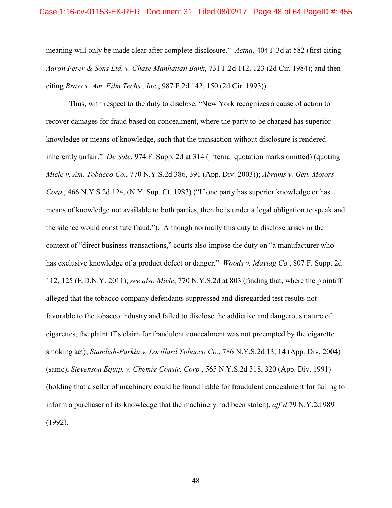meaning will only be made clear after complete disclosure." *Aetna*, 404 F.3d at 582 (first citing *Aaron Ferer & Sons Ltd. v. Chase Manhattan Bank*, 731 F.2d 112, 123 (2d Cir. 1984); and then citing *Brass v. Am. Film Techs., Inc.*, 987 F.2d 142, 150 (2d Cir. 1993)).

Thus, with respect to the duty to disclose, "New York recognizes a cause of action to recover damages for fraud based on concealment, where the party to be charged has superior knowledge or means of knowledge, such that the transaction without disclosure is rendered inherently unfair." *De Sole*, 974 F. Supp. 2d at 314 (internal quotation marks omitted) (quoting *Miele v. Am. Tobacco Co.*, 770 N.Y.S.2d 386, 391 (App. Div. 2003)); *Abrams v. Gen. Motors Corp.*, 466 N.Y.S.2d 124, (N.Y. Sup. Ct. 1983) ("If one party has superior knowledge or has means of knowledge not available to both parties, then he is under a legal obligation to speak and the silence would constitute fraud."). Although normally this duty to disclose arises in the context of "direct business transactions," courts also impose the duty on "a manufacturer who has exclusive knowledge of a product defect or danger." *Woods v. Maytag Co.*, 807 F. Supp. 2d 112, 125 (E.D.N.Y. 2011); *see also Miele*, 770 N.Y.S.2d at 803 (finding that, where the plaintiff alleged that the tobacco company defendants suppressed and disregarded test results not favorable to the tobacco industry and failed to disclose the addictive and dangerous nature of cigarettes, the plaintiff's claim for fraudulent concealment was not preempted by the cigarette smoking act); *Standish-Parkin v. Lorillard Tobacco Co.*, 786 N.Y.S.2d 13, 14 (App. Div. 2004) (same); *Stevenson Equip. v. Chemig Constr. Corp.*, 565 N.Y.S.2d 318, 320 (App. Div. 1991) (holding that a seller of machinery could be found liable for fraudulent concealment for failing to inform a purchaser of its knowledge that the machinery had been stolen), *aff'd* 79 N.Y.2d 989 (1992).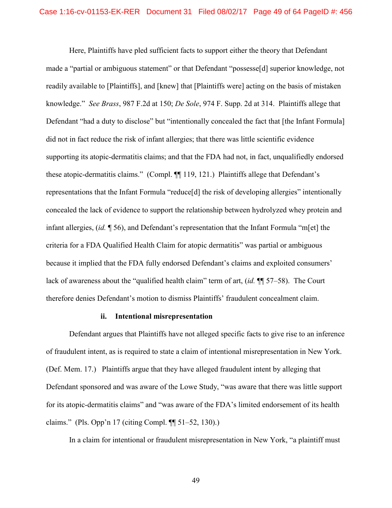Here, Plaintiffs have pled sufficient facts to support either the theory that Defendant made a "partial or ambiguous statement" or that Defendant "possesse[d] superior knowledge, not readily available to [Plaintiffs], and [knew] that [Plaintiffs were] acting on the basis of mistaken knowledge." *See Brass*, 987 F.2d at 150; *De Sole*, 974 F. Supp. 2d at 314. Plaintiffs allege that Defendant "had a duty to disclose" but "intentionally concealed the fact that [the Infant Formula] did not in fact reduce the risk of infant allergies; that there was little scientific evidence supporting its atopic-dermatitis claims; and that the FDA had not, in fact, unqualifiedly endorsed these atopic-dermatitis claims." (Compl. ¶¶ 119, 121.) Plaintiffs allege that Defendant's representations that the Infant Formula "reduce[d] the risk of developing allergies" intentionally concealed the lack of evidence to support the relationship between hydrolyzed whey protein and infant allergies, (*id.* ¶ 56), and Defendant's representation that the Infant Formula "m[et] the criteria for a FDA Qualified Health Claim for atopic dermatitis" was partial or ambiguous because it implied that the FDA fully endorsed Defendant's claims and exploited consumers' lack of awareness about the "qualified health claim" term of art, (*id.* ¶¶ 57–58). The Court therefore denies Defendant's motion to dismiss Plaintiffs' fraudulent concealment claim.

### **ii. Intentional misrepresentation**

Defendant argues that Plaintiffs have not alleged specific facts to give rise to an inference of fraudulent intent, as is required to state a claim of intentional misrepresentation in New York. (Def. Mem. 17.) Plaintiffs argue that they have alleged fraudulent intent by alleging that Defendant sponsored and was aware of the Lowe Study, "was aware that there was little support for its atopic-dermatitis claims" and "was aware of the FDA's limited endorsement of its health claims." (Pls. Opp'n 17 (citing Compl. ¶¶ 51–52, 130).)

In a claim for intentional or fraudulent misrepresentation in New York, "a plaintiff must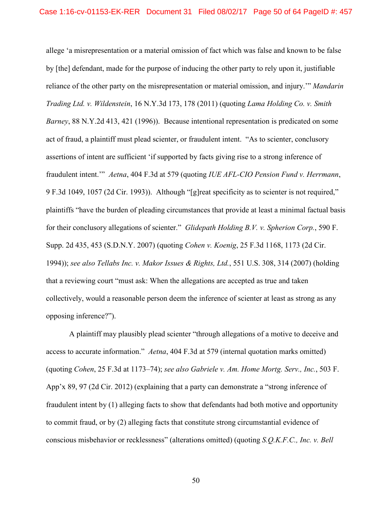allege 'a misrepresentation or a material omission of fact which was false and known to be false by [the] defendant, made for the purpose of inducing the other party to rely upon it, justifiable reliance of the other party on the misrepresentation or material omission, and injury.'" *Mandarin Trading Ltd. v. Wildenstein*, 16 N.Y.3d 173, 178 (2011) (quoting *Lama Holding Co. v. Smith Barney*, 88 N.Y.2d 413, 421 (1996)). Because intentional representation is predicated on some act of fraud, a plaintiff must plead scienter, or fraudulent intent. "As to scienter, conclusory assertions of intent are sufficient 'if supported by facts giving rise to a strong inference of fraudulent intent.'" *Aetna*, 404 F.3d at 579 (quoting *IUE AFL-CIO Pension Fund v. Herrmann*, 9 F.3d 1049, 1057 (2d Cir. 1993)). Although "[g]reat specificity as to scienter is not required," plaintiffs "have the burden of pleading circumstances that provide at least a minimal factual basis for their conclusory allegations of scienter." *Glidepath Holding B.V. v. Spherion Corp.*, 590 F. Supp. 2d 435, 453 (S.D.N.Y. 2007) (quoting *Cohen v. Koenig*, 25 F.3d 1168, 1173 (2d Cir. 1994)); *see also Tellabs Inc. v. Makor Issues & Rights, Ltd.*, 551 U.S. 308, 314 (2007) (holding that a reviewing court "must ask: When the allegations are accepted as true and taken collectively, would a reasonable person deem the inference of scienter at least as strong as any opposing inference?").

A plaintiff may plausibly plead scienter "through allegations of a motive to deceive and access to accurate information." *Aetna*, 404 F.3d at 579 (internal quotation marks omitted) (quoting *Cohen*, 25 F.3d at 1173–74); *see also Gabriele v. Am. Home Mortg. Serv., Inc.*, 503 F. App'x 89, 97 (2d Cir. 2012) (explaining that a party can demonstrate a "strong inference of fraudulent intent by (1) alleging facts to show that defendants had both motive and opportunity to commit fraud, or by (2) alleging facts that constitute strong circumstantial evidence of conscious misbehavior or recklessness" (alterations omitted) (quoting *S.Q.K.F.C., Inc. v. Bell*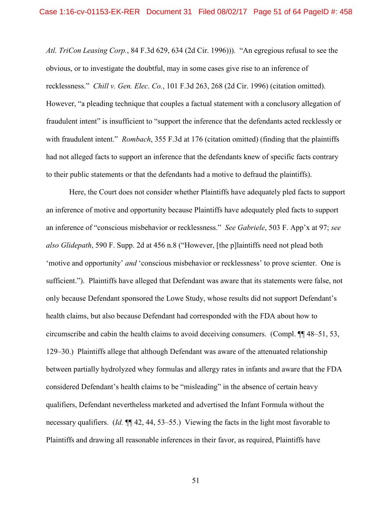*Atl. TriCon Leasing Corp.*, 84 F.3d 629, 634 (2d Cir. 1996))). "An egregious refusal to see the obvious, or to investigate the doubtful, may in some cases give rise to an inference of recklessness." *Chill v. Gen. Elec. Co.*, 101 F.3d 263, 268 (2d Cir. 1996) (citation omitted). However, "a pleading technique that couples a factual statement with a conclusory allegation of fraudulent intent" is insufficient to "support the inference that the defendants acted recklessly or with fraudulent intent." *Rombach*, 355 F.3d at 176 (citation omitted) (finding that the plaintiffs had not alleged facts to support an inference that the defendants knew of specific facts contrary to their public statements or that the defendants had a motive to defraud the plaintiffs).

Here, the Court does not consider whether Plaintiffs have adequately pled facts to support an inference of motive and opportunity because Plaintiffs have adequately pled facts to support an inference of "conscious misbehavior or recklessness." *See Gabriele*, 503 F. App'x at 97; *see also Glidepath*, 590 F. Supp. 2d at 456 n.8 ("However, [the p]laintiffs need not plead both 'motive and opportunity' *and* 'conscious misbehavior or recklessness' to prove scienter. One is sufficient."). Plaintiffs have alleged that Defendant was aware that its statements were false, not only because Defendant sponsored the Lowe Study, whose results did not support Defendant's health claims, but also because Defendant had corresponded with the FDA about how to circumscribe and cabin the health claims to avoid deceiving consumers. (Compl. ¶¶ 48–51, 53, 129–30.) Plaintiffs allege that although Defendant was aware of the attenuated relationship between partially hydrolyzed whey formulas and allergy rates in infants and aware that the FDA considered Defendant's health claims to be "misleading" in the absence of certain heavy qualifiers, Defendant nevertheless marketed and advertised the Infant Formula without the necessary qualifiers. (*Id.* ¶¶ 42, 44, 53–55.) Viewing the facts in the light most favorable to Plaintiffs and drawing all reasonable inferences in their favor, as required, Plaintiffs have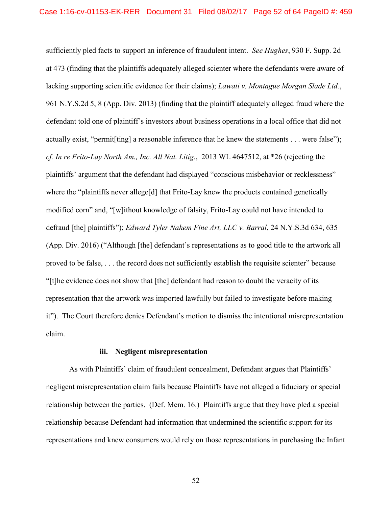sufficiently pled facts to support an inference of fraudulent intent. *See Hughes*, 930 F. Supp. 2d at 473 (finding that the plaintiffs adequately alleged scienter where the defendants were aware of lacking supporting scientific evidence for their claims); *Lawati v. Montague Morgan Slade Ltd.*, 961 N.Y.S.2d 5, 8 (App. Div. 2013) (finding that the plaintiff adequately alleged fraud where the defendant told one of plaintiff's investors about business operations in a local office that did not actually exist, "permit[ting] a reasonable inference that he knew the statements . . . were false"); *cf. In re Frito-Lay North Am., Inc. All Nat. Litig.*, 2013 WL 4647512, at \*26 (rejecting the plaintiffs' argument that the defendant had displayed "conscious misbehavior or recklessness" where the "plaintiffs never allege<sup>[d]</sup> that Frito-Lay knew the products contained genetically modified corn" and, "[w]ithout knowledge of falsity, Frito-Lay could not have intended to defraud [the] plaintiffs"); *Edward Tyler Nahem Fine Art, LLC v. Barral*, 24 N.Y.S.3d 634, 635 (App. Div. 2016) ("Although [the] defendant's representations as to good title to the artwork all proved to be false, . . . the record does not sufficiently establish the requisite scienter" because "[t]he evidence does not show that [the] defendant had reason to doubt the veracity of its representation that the artwork was imported lawfully but failed to investigate before making it"). The Court therefore denies Defendant's motion to dismiss the intentional misrepresentation claim.

## **iii. Negligent misrepresentation**

As with Plaintiffs' claim of fraudulent concealment, Defendant argues that Plaintiffs' negligent misrepresentation claim fails because Plaintiffs have not alleged a fiduciary or special relationship between the parties. (Def. Mem. 16.) Plaintiffs argue that they have pled a special relationship because Defendant had information that undermined the scientific support for its representations and knew consumers would rely on those representations in purchasing the Infant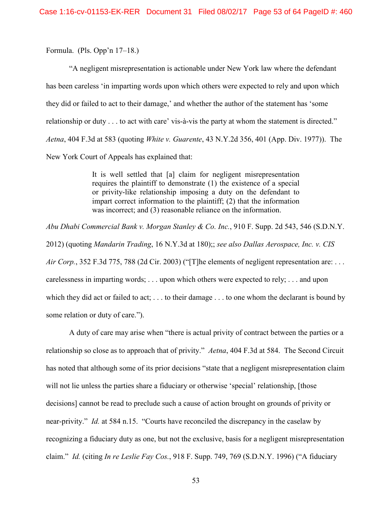Formula. (Pls. Opp'n 17–18.)

"A negligent misrepresentation is actionable under New York law where the defendant has been careless 'in imparting words upon which others were expected to rely and upon which they did or failed to act to their damage,' and whether the author of the statement has 'some relationship or duty . . . to act with care' vis-à-vis the party at whom the statement is directed." *Aetna*, 404 F.3d at 583 (quoting *White v. Guarente*, 43 N.Y.2d 356, 401 (App. Div. 1977)). The New York Court of Appeals has explained that:

> It is well settled that [a] claim for negligent misrepresentation requires the plaintiff to demonstrate (1) the existence of a special or privity-like relationship imposing a duty on the defendant to impart correct information to the plaintiff; (2) that the information was incorrect; and (3) reasonable reliance on the information.

*Abu Dhabi Commercial Bank v. Morgan Stanley & Co. Inc.*, 910 F. Supp. 2d 543, 546 (S.D.N.Y. 2012) (quoting *Mandarin Trading*, 16 N.Y.3d at 180);; *see also Dallas Aerospace, Inc. v. CIS Air Corp.*, 352 F.3d 775, 788 (2d Cir. 2003) ("[T]he elements of negligent representation are: . . . carelessness in imparting words; . . . upon which others were expected to rely; . . . and upon which they did act or failed to act; . . . to their damage . . . to one whom the declarant is bound by some relation or duty of care.").

A duty of care may arise when "there is actual privity of contract between the parties or a relationship so close as to approach that of privity." *Aetna*, 404 F.3d at 584. The Second Circuit has noted that although some of its prior decisions "state that a negligent misrepresentation claim will not lie unless the parties share a fiduciary or otherwise 'special' relationship, [those decisions] cannot be read to preclude such a cause of action brought on grounds of privity or near-privity." *Id.* at 584 n.15. "Courts have reconciled the discrepancy in the caselaw by recognizing a fiduciary duty as one, but not the exclusive, basis for a negligent misrepresentation claim." *Id.* (citing *In re Leslie Fay Cos.*, 918 F. Supp. 749, 769 (S.D.N.Y. 1996) ("A fiduciary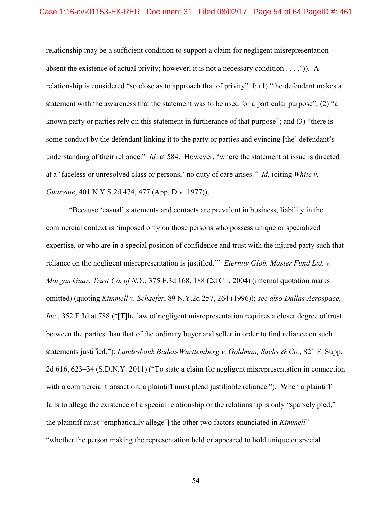relationship may be a sufficient condition to support a claim for negligent misrepresentation absent the existence of actual privity; however, it is not a necessary condition  $\dots$ .")). A relationship is considered "so close as to approach that of privity" if: (1) "the defendant makes a statement with the awareness that the statement was to be used for a particular purpose"; (2) "a known party or parties rely on this statement in furtherance of that purpose"; and (3) "there is some conduct by the defendant linking it to the party or parties and evincing [the] defendant's understanding of their reliance." *Id.* at 584. However, "where the statement at issue is directed at a 'faceless or unresolved class or persons,' no duty of care arises." *Id.* (citing *White v. Guarente*, 401 N.Y.S.2d 474, 477 (App. Div. 1977)).

"Because 'casual' statements and contacts are prevalent in business, liability in the commercial context is 'imposed only on those persons who possess unique or specialized expertise, or who are in a special position of confidence and trust with the injured party such that reliance on the negligent misrepresentation is justified.'" *Eternity Glob. Master Fund Ltd. v. Morgan Guar. Trust Co. of N.Y.*, 375 F.3d 168, 188 (2d Cir. 2004) (internal quotation marks omitted) (quoting *Kimmell v. Schaefer*, 89 N.Y.2d 257, 264 (1996)); *see also Dallas Aerospace, Inc.*, 352 F.3d at 788 ("T]he law of negligent misrepresentation requires a closer degree of trust between the parties than that of the ordinary buyer and seller in order to find reliance on such statements justified."); *Landesbank Baden-Wurttemberg v. Goldman, Sachs & Co.*, 821 F. Supp. 2d 616, 623–34 (S.D.N.Y. 2011) ("To state a claim for negligent misrepresentation in connection with a commercial transaction, a plaintiff must plead justifiable reliance."). When a plaintiff fails to allege the existence of a special relationship or the relationship is only "sparsely pled," the plaintiff must "emphatically allege[] the other two factors enunciated in *Kimmell*" — "whether the person making the representation held or appeared to hold unique or special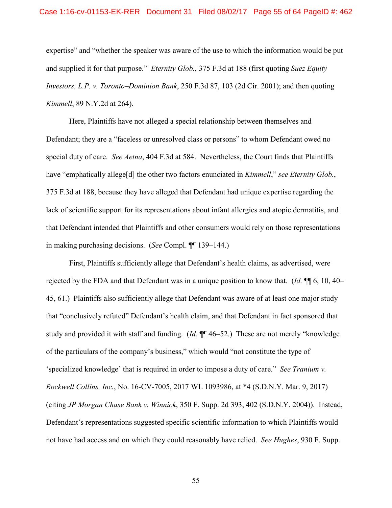#### Case 1:16-cv-01153-EK-RER Document 31 Filed 08/02/17 Page 55 of 64 PageID #: 462

expertise" and "whether the speaker was aware of the use to which the information would be put and supplied it for that purpose." *Eternity Glob.*, 375 F.3d at 188 (first quoting *Suez Equity Investors, L.P. v. Toronto–Dominion Bank*, 250 F.3d 87, 103 (2d Cir. 2001); and then quoting *Kimmell*, 89 N.Y.2d at 264).

Here, Plaintiffs have not alleged a special relationship between themselves and Defendant; they are a "faceless or unresolved class or persons" to whom Defendant owed no special duty of care. *See Aetna*, 404 F.3d at 584. Nevertheless, the Court finds that Plaintiffs have "emphatically allege[d] the other two factors enunciated in *Kimmell*," *see Eternity Glob.*, 375 F.3d at 188, because they have alleged that Defendant had unique expertise regarding the lack of scientific support for its representations about infant allergies and atopic dermatitis, and that Defendant intended that Plaintiffs and other consumers would rely on those representations in making purchasing decisions. (*See* Compl. ¶¶ 139–144.)

First, Plaintiffs sufficiently allege that Defendant's health claims, as advertised, were rejected by the FDA and that Defendant was in a unique position to know that. (*Id.* ¶¶ 6, 10, 40– 45, 61.) Plaintiffs also sufficiently allege that Defendant was aware of at least one major study that "conclusively refuted" Defendant's health claim, and that Defendant in fact sponsored that study and provided it with staff and funding. (*Id.* ¶¶ 46–52.) These are not merely "knowledge of the particulars of the company's business," which would "not constitute the type of 'specialized knowledge' that is required in order to impose a duty of care." *See Tranium v. Rockwell Collins, Inc.*, No. 16-CV-7005, 2017 WL 1093986, at \*4 (S.D.N.Y. Mar. 9, 2017) (citing *JP Morgan Chase Bank v. Winnick*, 350 F. Supp. 2d 393, 402 (S.D.N.Y. 2004)). Instead, Defendant's representations suggested specific scientific information to which Plaintiffs would not have had access and on which they could reasonably have relied. *See Hughes*, 930 F. Supp.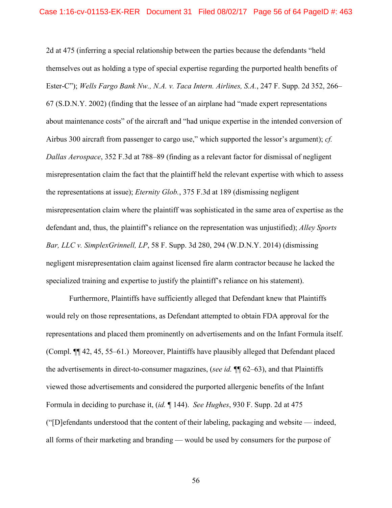2d at 475 (inferring a special relationship between the parties because the defendants "held themselves out as holding a type of special expertise regarding the purported health benefits of Ester-C"); *Wells Fargo Bank Nw., N.A. v. Taca Intern. Airlines, S.A.*, 247 F. Supp. 2d 352, 266– 67 (S.D.N.Y. 2002) (finding that the lessee of an airplane had "made expert representations about maintenance costs" of the aircraft and "had unique expertise in the intended conversion of Airbus 300 aircraft from passenger to cargo use," which supported the lessor's argument); *cf. Dallas Aerospace*, 352 F.3d at 788–89 (finding as a relevant factor for dismissal of negligent misrepresentation claim the fact that the plaintiff held the relevant expertise with which to assess the representations at issue); *Eternity Glob.*, 375 F.3d at 189 (dismissing negligent misrepresentation claim where the plaintiff was sophisticated in the same area of expertise as the defendant and, thus, the plaintiff's reliance on the representation was unjustified); *Alley Sports Bar, LLC v. SimplexGrinnell, LP*, 58 F. Supp. 3d 280, 294 (W.D.N.Y. 2014) (dismissing negligent misrepresentation claim against licensed fire alarm contractor because he lacked the specialized training and expertise to justify the plaintiff's reliance on his statement).

Furthermore, Plaintiffs have sufficiently alleged that Defendant knew that Plaintiffs would rely on those representations, as Defendant attempted to obtain FDA approval for the representations and placed them prominently on advertisements and on the Infant Formula itself. (Compl. ¶¶ 42, 45, 55–61.) Moreover, Plaintiffs have plausibly alleged that Defendant placed the advertisements in direct-to-consumer magazines, (*see id.* ¶¶ 62–63), and that Plaintiffs viewed those advertisements and considered the purported allergenic benefits of the Infant Formula in deciding to purchase it, (*id.* ¶ 144). *See Hughes*, 930 F. Supp. 2d at 475 ("[D]efendants understood that the content of their labeling, packaging and website — indeed, all forms of their marketing and branding — would be used by consumers for the purpose of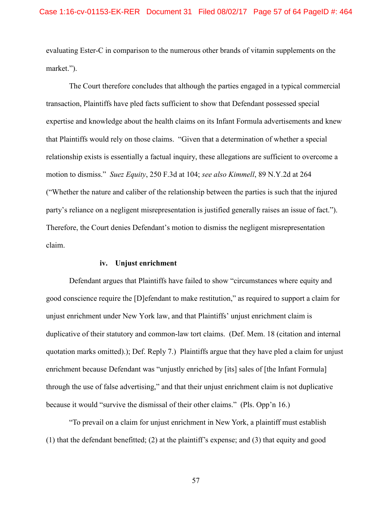evaluating Ester-C in comparison to the numerous other brands of vitamin supplements on the market.").

The Court therefore concludes that although the parties engaged in a typical commercial transaction, Plaintiffs have pled facts sufficient to show that Defendant possessed special expertise and knowledge about the health claims on its Infant Formula advertisements and knew that Plaintiffs would rely on those claims. "Given that a determination of whether a special relationship exists is essentially a factual inquiry, these allegations are sufficient to overcome a motion to dismiss." *Suez Equity*, 250 F.3d at 104; *see also Kimmell*, 89 N.Y.2d at 264 ("Whether the nature and caliber of the relationship between the parties is such that the injured party's reliance on a negligent misrepresentation is justified generally raises an issue of fact."). Therefore, the Court denies Defendant's motion to dismiss the negligent misrepresentation claim.

## **iv. Unjust enrichment**

Defendant argues that Plaintiffs have failed to show "circumstances where equity and good conscience require the [D]efendant to make restitution," as required to support a claim for unjust enrichment under New York law, and that Plaintiffs' unjust enrichment claim is duplicative of their statutory and common-law tort claims. (Def. Mem. 18 (citation and internal quotation marks omitted).); Def. Reply 7.) Plaintiffs argue that they have pled a claim for unjust enrichment because Defendant was "unjustly enriched by [its] sales of [the Infant Formula] through the use of false advertising," and that their unjust enrichment claim is not duplicative because it would "survive the dismissal of their other claims." (Pls. Opp'n 16.)

"To prevail on a claim for unjust enrichment in New York, a plaintiff must establish (1) that the defendant benefitted; (2) at the plaintiff's expense; and (3) that equity and good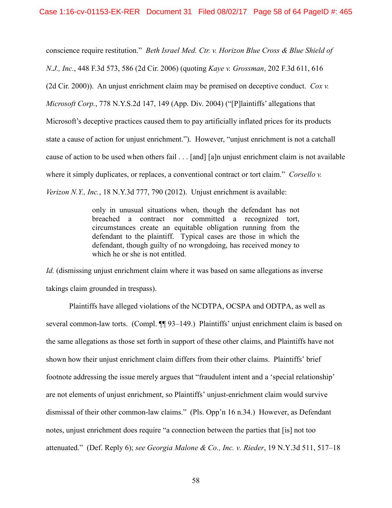conscience require restitution." *Beth Israel Med. Ctr. v. Horizon Blue Cross & Blue Shield of N.J., Inc.*, 448 F.3d 573, 586 (2d Cir. 2006) (quoting *Kaye v. Grossman*, 202 F.3d 611, 616 (2d Cir. 2000)). An unjust enrichment claim may be premised on deceptive conduct. *Cox v. Microsoft Corp.*, 778 N.Y.S.2d 147, 149 (App. Div. 2004) ("[P]laintiffs' allegations that Microsoft's deceptive practices caused them to pay artificially inflated prices for its products state a cause of action for unjust enrichment."). However, "unjust enrichment is not a catchall cause of action to be used when others fail . . . [and] [a]n unjust enrichment claim is not available where it simply duplicates, or replaces, a conventional contract or tort claim." *Corsello v. Verizon N.Y., Inc.*, 18 N.Y.3d 777, 790 (2012). Unjust enrichment is available:

> only in unusual situations when, though the defendant has not breached a contract nor committed a recognized tort, circumstances create an equitable obligation running from the defendant to the plaintiff. Typical cases are those in which the defendant, though guilty of no wrongdoing, has received money to which he or she is not entitled.

*Id.* (dismissing unjust enrichment claim where it was based on same allegations as inverse takings claim grounded in trespass).

Plaintiffs have alleged violations of the NCDTPA, OCSPA and ODTPA, as well as several common-law torts. (Compl. ¶ 93–149.) Plaintiffs' unjust enrichment claim is based on the same allegations as those set forth in support of these other claims, and Plaintiffs have not shown how their unjust enrichment claim differs from their other claims. Plaintiffs' brief footnote addressing the issue merely argues that "fraudulent intent and a 'special relationship' are not elements of unjust enrichment, so Plaintiffs' unjust-enrichment claim would survive dismissal of their other common-law claims." (Pls. Opp'n 16 n.34.) However, as Defendant notes, unjust enrichment does require "a connection between the parties that [is] not too attenuated." (Def. Reply 6); *see Georgia Malone & Co., Inc. v. Rieder*, 19 N.Y.3d 511, 517–18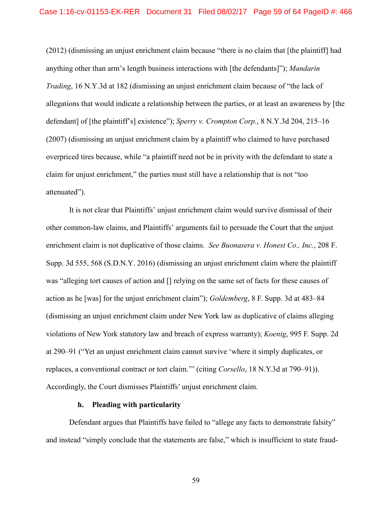(2012) (dismissing an unjust enrichment claim because "there is no claim that [the plaintiff] had anything other than arm's length business interactions with [the defendants]"); *Mandarin Trading*, 16 N.Y.3d at 182 (dismissing an unjust enrichment claim because of "the lack of allegations that would indicate a relationship between the parties, or at least an awareness by [the defendant] of [the plaintiff's] existence"); *Sperry v. Crompton Corp.*, 8 N.Y.3d 204, 215–16 (2007) (dismissing an unjust enrichment claim by a plaintiff who claimed to have purchased overpriced tires because, while "a plaintiff need not be in privity with the defendant to state a claim for unjust enrichment," the parties must still have a relationship that is not "too attenuated").

It is not clear that Plaintiffs' unjust enrichment claim would survive dismissal of their other common-law claims, and Plaintiffs' arguments fail to persuade the Court that the unjust enrichment claim is not duplicative of those claims. *See Buonasera v. Honest Co., Inc.*, 208 F. Supp. 3d 555, 568 (S.D.N.Y. 2016) (dismissing an unjust enrichment claim where the plaintiff was "alleging tort causes of action and [] relying on the same set of facts for these causes of action as he [was] for the unjust enrichment claim"); *Goldemberg*, 8 F. Supp. 3d at 483–84 (dismissing an unjust enrichment claim under New York law as duplicative of claims alleging violations of New York statutory law and breach of express warranty); *Koenig*, 995 F. Supp. 2d at 290–91 ("Yet an unjust enrichment claim cannot survive 'where it simply duplicates, or replaces, a conventional contract or tort claim.'" (citing *Corsello*, 18 N.Y.3d at 790–91)). Accordingly, the Court dismisses Plaintiffs' unjust enrichment claim.

## **h. Pleading with particularity**

Defendant argues that Plaintiffs have failed to "allege any facts to demonstrate falsity" and instead "simply conclude that the statements are false," which is insufficient to state fraud-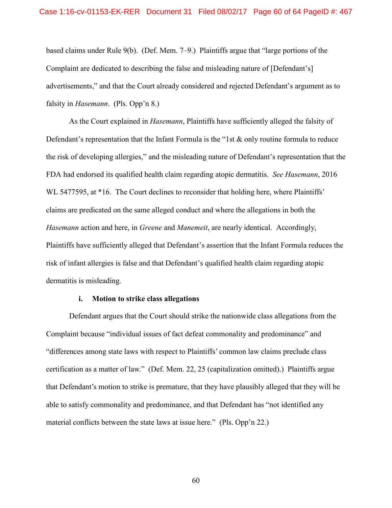based claims under Rule 9(b). (Def. Mem. 7–9.) Plaintiffs argue that "large portions of the Complaint are dedicated to describing the false and misleading nature of [Defendant's] advertisements," and that the Court already considered and rejected Defendant's argument as to falsity in *Hasemann*. (Pls. Opp'n 8.)

As the Court explained in *Hasemann*, Plaintiffs have sufficiently alleged the falsity of Defendant's representation that the Infant Formula is the "1st & only routine formula to reduce the risk of developing allergies," and the misleading nature of Defendant's representation that the FDA had endorsed its qualified health claim regarding atopic dermatitis. *See Hasemann*, 2016 WL 5477595, at \*16. The Court declines to reconsider that holding here, where Plaintiffs' claims are predicated on the same alleged conduct and where the allegations in both the *Hasemann* action and here, in *Greene* and *Manemeit*, are nearly identical. Accordingly, Plaintiffs have sufficiently alleged that Defendant's assertion that the Infant Formula reduces the risk of infant allergies is false and that Defendant's qualified health claim regarding atopic dermatitis is misleading.

### **i. Motion to strike class allegations**

Defendant argues that the Court should strike the nationwide class allegations from the Complaint because "individual issues of fact defeat commonality and predominance" and "differences among state laws with respect to Plaintiffs' common law claims preclude class certification as a matter of law." (Def. Mem. 22, 25 (capitalization omitted).) Plaintiffs argue that Defendant's motion to strike is premature, that they have plausibly alleged that they will be able to satisfy commonality and predominance, and that Defendant has "not identified any material conflicts between the state laws at issue here." (Pls. Opp'n 22.)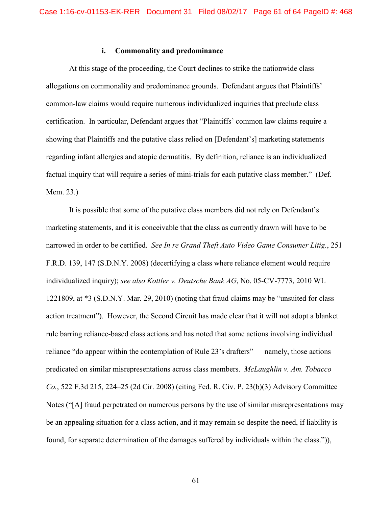## **i. Commonality and predominance**

At this stage of the proceeding, the Court declines to strike the nationwide class allegations on commonality and predominance grounds. Defendant argues that Plaintiffs' common-law claims would require numerous individualized inquiries that preclude class certification. In particular, Defendant argues that "Plaintiffs' common law claims require a showing that Plaintiffs and the putative class relied on [Defendant's] marketing statements regarding infant allergies and atopic dermatitis. By definition, reliance is an individualized factual inquiry that will require a series of mini-trials for each putative class member." (Def. Mem. 23.)

It is possible that some of the putative class members did not rely on Defendant's marketing statements, and it is conceivable that the class as currently drawn will have to be narrowed in order to be certified. *See In re Grand Theft Auto Video Game Consumer Litig.*, 251 F.R.D. 139, 147 (S.D.N.Y. 2008) (decertifying a class where reliance element would require individualized inquiry); *see also Kottler v. Deutsche Bank AG*, No. 05-CV-7773, 2010 WL 1221809, at \*3 (S.D.N.Y. Mar. 29, 2010) (noting that fraud claims may be "unsuited for class action treatment"). However, the Second Circuit has made clear that it will not adopt a blanket rule barring reliance-based class actions and has noted that some actions involving individual reliance "do appear within the contemplation of Rule 23's drafters" — namely, those actions predicated on similar misrepresentations across class members. *McLaughlin v. Am. Tobacco Co.*, 522 F.3d 215, 224–25 (2d Cir. 2008) (citing Fed. R. Civ. P. 23(b)(3) Advisory Committee Notes ("[A] fraud perpetrated on numerous persons by the use of similar misrepresentations may be an appealing situation for a class action, and it may remain so despite the need, if liability is found, for separate determination of the damages suffered by individuals within the class.")),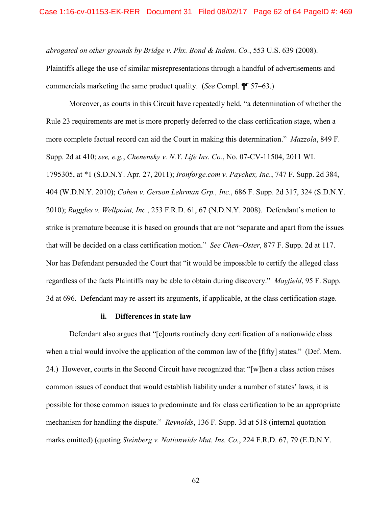*abrogated on other grounds by Bridge v. Phx. Bond & Indem. Co.*, 553 U.S. 639 (2008).

Plaintiffs allege the use of similar misrepresentations through a handful of advertisements and commercials marketing the same product quality. (*See* Compl. ¶¶ 57–63.)

Moreover, as courts in this Circuit have repeatedly held, "a determination of whether the Rule 23 requirements are met is more properly deferred to the class certification stage, when a more complete factual record can aid the Court in making this determination." *Mazzola*, 849 F. Supp. 2d at 410; *see, e.g.*, *Chenensky v. N.Y. Life Ins. Co.*, No. 07-CV-11504, 2011 WL 1795305, at \*1 (S.D.N.Y. Apr. 27, 2011); *Ironforge.com v. Paychex, Inc.*, 747 F. Supp. 2d 384, 404 (W.D.N.Y. 2010); *Cohen v. Gerson Lehrman Grp., Inc.*, 686 F. Supp. 2d 317, 324 (S.D.N.Y. 2010); *Ruggles v. Wellpoint, Inc.*, 253 F.R.D. 61, 67 (N.D.N.Y. 2008). Defendant's motion to strike is premature because it is based on grounds that are not "separate and apart from the issues that will be decided on a class certification motion." *See Chen–Oster*, 877 F. Supp. 2d at 117. Nor has Defendant persuaded the Court that "it would be impossible to certify the alleged class regardless of the facts Plaintiffs may be able to obtain during discovery." *Mayfield*, 95 F. Supp. 3d at 696. Defendant may re-assert its arguments, if applicable, at the class certification stage.

### **ii. Differences in state law**

Defendant also argues that "[c]ourts routinely deny certification of a nationwide class when a trial would involve the application of the common law of the [fifty] states." (Def. Mem. 24.) However, courts in the Second Circuit have recognized that "[w]hen a class action raises common issues of conduct that would establish liability under a number of states' laws, it is possible for those common issues to predominate and for class certification to be an appropriate mechanism for handling the dispute." *Reynolds*, 136 F. Supp. 3d at 518 (internal quotation marks omitted) (quoting *Steinberg v. Nationwide Mut. Ins. Co.*, 224 F.R.D. 67, 79 (E.D.N.Y.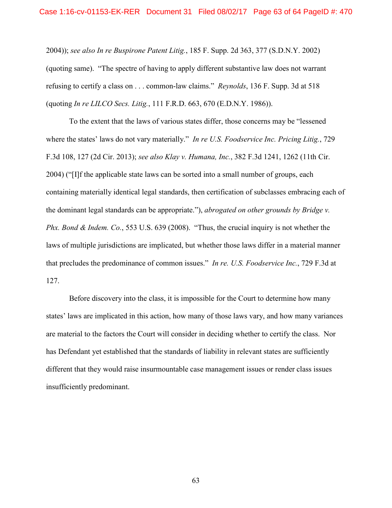2004)); *see also In re Buspirone Patent Litig.*, 185 F. Supp. 2d 363, 377 (S.D.N.Y. 2002) (quoting same). "The spectre of having to apply different substantive law does not warrant refusing to certify a class on . . . common-law claims." *Reynolds*, 136 F. Supp. 3d at 518 (quoting *In re LILCO Secs. Litig.*, 111 F.R.D. 663, 670 (E.D.N.Y. 1986)).

To the extent that the laws of various states differ, those concerns may be "lessened where the states' laws do not vary materially." *In re U.S. Foodservice Inc. Pricing Litig.*, 729 F.3d 108, 127 (2d Cir. 2013); *see also Klay v. Humana, Inc.*, 382 F.3d 1241, 1262 (11th Cir. 2004) ("[I]f the applicable state laws can be sorted into a small number of groups, each containing materially identical legal standards, then certification of subclasses embracing each of the dominant legal standards can be appropriate."), *abrogated on other grounds by Bridge v. Phx. Bond & Indem. Co.*, 553 U.S. 639 (2008). "Thus, the crucial inquiry is not whether the laws of multiple jurisdictions are implicated, but whether those laws differ in a material manner that precludes the predominance of common issues." *In re. U.S. Foodservice Inc.*, 729 F.3d at 127.

Before discovery into the class, it is impossible for the Court to determine how many states' laws are implicated in this action, how many of those laws vary, and how many variances are material to the factors the Court will consider in deciding whether to certify the class. Nor has Defendant yet established that the standards of liability in relevant states are sufficiently different that they would raise insurmountable case management issues or render class issues insufficiently predominant.